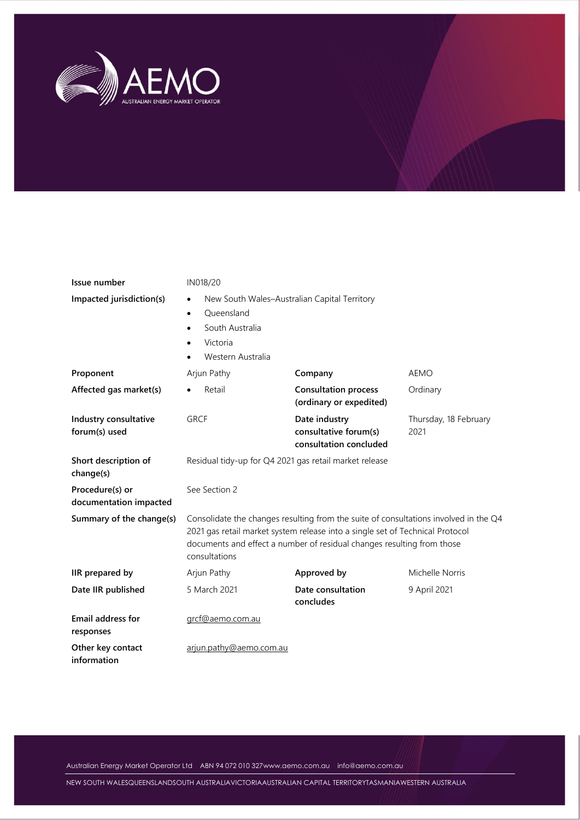

| Issue number<br>Impacted jurisdiction(s)  | IN018/20<br>New South Wales-Australian Capital Territory<br>$\bullet$<br>Oueensland<br>$\bullet$<br>South Australia<br>$\bullet$<br>Victoria<br>$\bullet$<br>Western Australia<br>$\bullet$                                                                      |                                |                 |  |  |  |
|-------------------------------------------|------------------------------------------------------------------------------------------------------------------------------------------------------------------------------------------------------------------------------------------------------------------|--------------------------------|-----------------|--|--|--|
| Proponent                                 | Arjun Pathy                                                                                                                                                                                                                                                      | Company                        | <b>AEMO</b>     |  |  |  |
| Affected gas market(s)                    | <b>Consultation process</b><br>Retail<br>Ordinary<br>$\bullet$<br>(ordinary or expedited)                                                                                                                                                                        |                                |                 |  |  |  |
| Industry consultative<br>forum(s) used    | <b>GRCF</b><br>Date industry<br>Thursday, 18 February<br>consultative forum(s)<br>2021<br>consultation concluded                                                                                                                                                 |                                |                 |  |  |  |
| Short description of<br>change(s)         | Residual tidy-up for Q4 2021 gas retail market release                                                                                                                                                                                                           |                                |                 |  |  |  |
| Procedure(s) or<br>documentation impacted | See Section 2                                                                                                                                                                                                                                                    |                                |                 |  |  |  |
| Summary of the change(s)                  | Consolidate the changes resulting from the suite of consultations involved in the Q4<br>2021 gas retail market system release into a single set of Technical Protocol<br>documents and effect a number of residual changes resulting from those<br>consultations |                                |                 |  |  |  |
| IIR prepared by                           | Arjun Pathy                                                                                                                                                                                                                                                      | Approved by                    | Michelle Norris |  |  |  |
| Date IIR published                        | 5 March 2021                                                                                                                                                                                                                                                     | Date consultation<br>concludes | 9 April 2021    |  |  |  |
| Email address for<br>responses            | grcf@aemo.com.au                                                                                                                                                                                                                                                 |                                |                 |  |  |  |
| Other key contact<br>information          | arjun.pathy@aemo.com.au                                                                                                                                                                                                                                          |                                |                 |  |  |  |

Australian Energy Market Operator Ltd ABN 94 072 010 32[7www.aemo.com.au](http://www.aemo.com.au/) [info@aemo.com.au](mailto:info@aemo.com.au)

NEW SOUTH WALESQUEENSLANDSOUTH AUSTRALIAVICTORIAAUSTRALIAN CAPITAL TERRITORYTASMANIAWESTERN AUSTRALIA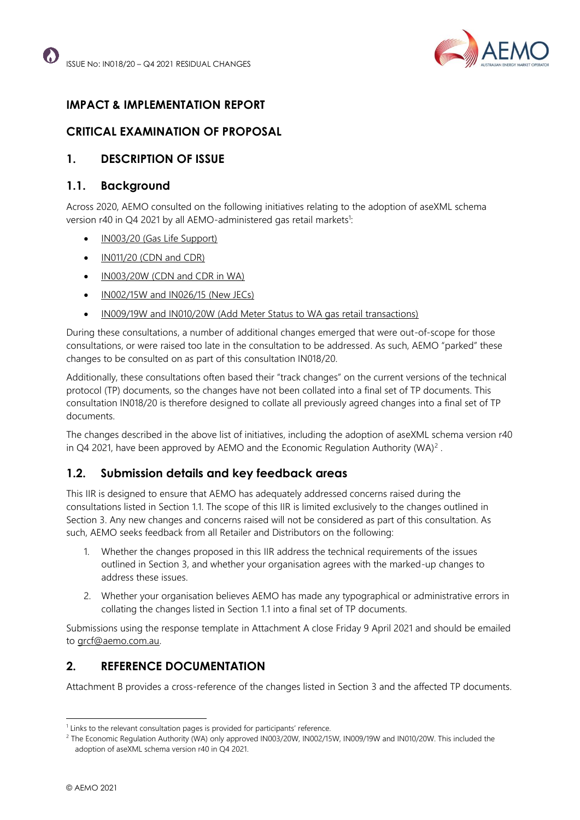

# **IMPACT & IMPLEMENTATION REPORT**

## **CRITICAL EXAMINATION OF PROPOSAL**

### **1. DESCRIPTION OF ISSUE**

### <span id="page-1-0"></span>**1.1. Background**

Across 2020, AEMO consulted on the following initiatives relating to the adoption of aseXML schema version r40 in Q4 2021 by all AEMO-administered gas retail markets<sup>1</sup>:

- [IN003/20 \(Gas Life Support\)](https://aemo.com.au/consultations/current-and-closed-consultations/in003-20-gas-life-support)
- [IN011/20 \(CDN and CDR\)](https://aemo.com.au/consultations/current-and-closed-consultations/in011-20-cdn-and-cdr-changes)
- [IN003/20W \(CDN and CDR in WA\)](https://aemo.com.au/consultations/current-and-closed-consultations/in003-20w-wa-cdn-and-cdr-changes)
- [IN002/15W and IN026/15 \(New JECs\)](https://aemo.com.au/consultations/current-and-closed-consultations/in002-15w-in026-15)
- [IN009/19W and IN010/20W \(Add Meter Status to WA gas retail transactions\)](https://aemo.com.au/consultations/current-and-closed-consultations/in00919w-and-in01020w)

During these consultations, a number of additional changes emerged that were out-of-scope for those consultations, or were raised too late in the consultation to be addressed. As such, AEMO "parked" these changes to be consulted on as part of this consultation IN018/20.

Additionally, these consultations often based their "track changes" on the current versions of the technical protocol (TP) documents, so the changes have not been collated into a final set of TP documents. This consultation IN018/20 is therefore designed to collate all previously agreed changes into a final set of TP documents.

The changes described in the above list of initiatives, including the adoption of aseXML schema version r40 in Q4 2021, have been approved by AEMO and the Economic Regulation Authority (WA)<sup>2</sup>.

### **1.2. Submission details and key feedback areas**

This IIR is designed to ensure that AEMO has adequately addressed concerns raised during the consultations listed in Section [1.1.](#page-1-0) The scope of this IIR is limited exclusively to the changes outlined in Section [3.](#page-2-0) Any new changes and concerns raised will not be considered as part of this consultation. As such, AEMO seeks feedback from all Retailer and Distributors on the following:

- 1. Whether the changes proposed in this IIR address the technical requirements of the issues outlined in Section [3,](#page-2-0) and whether your organisation agrees with the marked-up changes to address these issues.
- 2. Whether your organisation believes AEMO has made any typographical or administrative errors in collating the changes listed in Section [1.1](#page-1-0) into a final set of TP documents.

Submissions using the response template in Attachment A close Friday 9 April 2021 and should be emailed to [grcf@aemo.com.au.](mailto:grcf@aemo.com.au)

# **2. REFERENCE DOCUMENTATION**

Attachment B provides a cross-reference of the changes listed in Section [3](#page-2-0) and the affected TP documents.

<sup>&</sup>lt;sup>1</sup> Links to the relevant consultation pages is provided for participants' reference.

<sup>&</sup>lt;sup>2</sup> The Economic Regulation Authority (WA) only approved IN003/20W, IN002/15W, IN009/19W and IN010/20W. This included the adoption of aseXML schema version r40 in Q4 2021.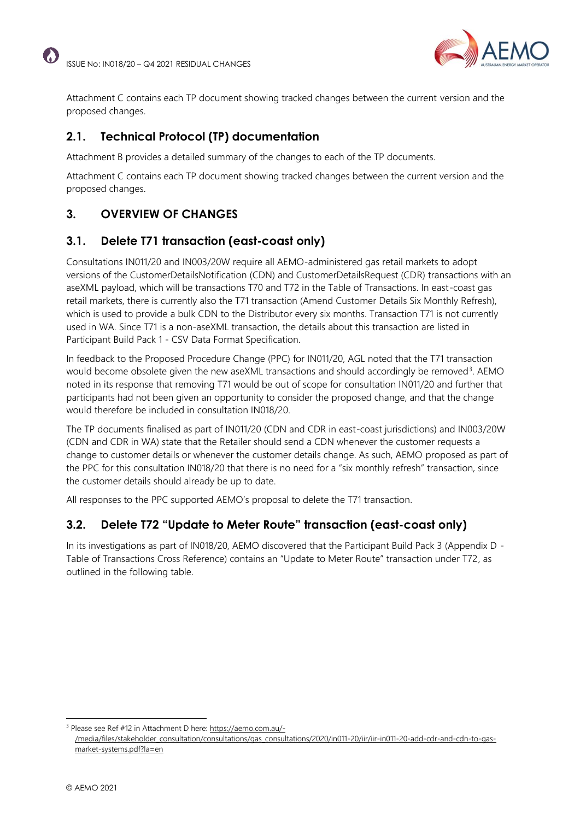

Attachment C contains each TP document showing tracked changes between the current version and the proposed changes.

# **2.1. Technical Protocol (TP) documentation**

Attachment B provides a detailed summary of the changes to each of the TP documents.

Attachment C contains each TP document showing tracked changes between the current version and the proposed changes.

# <span id="page-2-0"></span>**3. OVERVIEW OF CHANGES**

# **3.1. Delete T71 transaction (east-coast only)**

Consultations IN011/20 and IN003/20W require all AEMO-administered gas retail markets to adopt versions of the CustomerDetailsNotification (CDN) and CustomerDetailsRequest (CDR) transactions with an aseXML payload, which will be transactions T70 and T72 in the Table of Transactions. In east-coast gas retail markets, there is currently also the T71 transaction (Amend Customer Details Six Monthly Refresh), which is used to provide a bulk CDN to the Distributor every six months. Transaction T71 is not currently used in WA. Since T71 is a non-aseXML transaction, the details about this transaction are listed in Participant Build Pack 1 - CSV Data Format Specification.

In feedback to the Proposed Procedure Change (PPC) for IN011/20, AGL noted that the T71 transaction would become obsolete given the new aseXML transactions and should accordingly be removed<sup>3</sup>. AEMO noted in its response that removing T71 would be out of scope for consultation IN011/20 and further that participants had not been given an opportunity to consider the proposed change, and that the change would therefore be included in consultation IN018/20.

The TP documents finalised as part of IN011/20 (CDN and CDR in east-coast jurisdictions) and IN003/20W (CDN and CDR in WA) state that the Retailer should send a CDN whenever the customer requests a change to customer details or whenever the customer details change. As such, AEMO proposed as part of the PPC for this consultation IN018/20 that there is no need for a "six monthly refresh" transaction, since the customer details should already be up to date.

All responses to the PPC supported AEMO's proposal to delete the T71 transaction.

# **3.2. Delete T72 "Update to Meter Route" transaction (east-coast only)**

In its investigations as part of IN018/20, AEMO discovered that the Participant Build Pack 3 (Appendix D - Table of Transactions Cross Reference) contains an "Update to Meter Route" transaction under T72, as outlined in the following table.

<sup>3</sup> Please see Ref #12 in Attachment D here[: https://aemo.com.au/-](https://aemo.com.au/-/media/files/stakeholder_consultation/consultations/gas_consultations/2020/in011-20/iir/iir-in011-20-add-cdr-and-cdn-to-gas-market-systems.pdf?la=en) [/media/files/stakeholder\\_consultation/consultations/gas\\_consultations/2020/in011-20/iir/iir-in011-20-add-cdr-and-cdn-to-gas](https://aemo.com.au/-/media/files/stakeholder_consultation/consultations/gas_consultations/2020/in011-20/iir/iir-in011-20-add-cdr-and-cdn-to-gas-market-systems.pdf?la=en)[market-systems.pdf?la=en](https://aemo.com.au/-/media/files/stakeholder_consultation/consultations/gas_consultations/2020/in011-20/iir/iir-in011-20-add-cdr-and-cdn-to-gas-market-systems.pdf?la=en)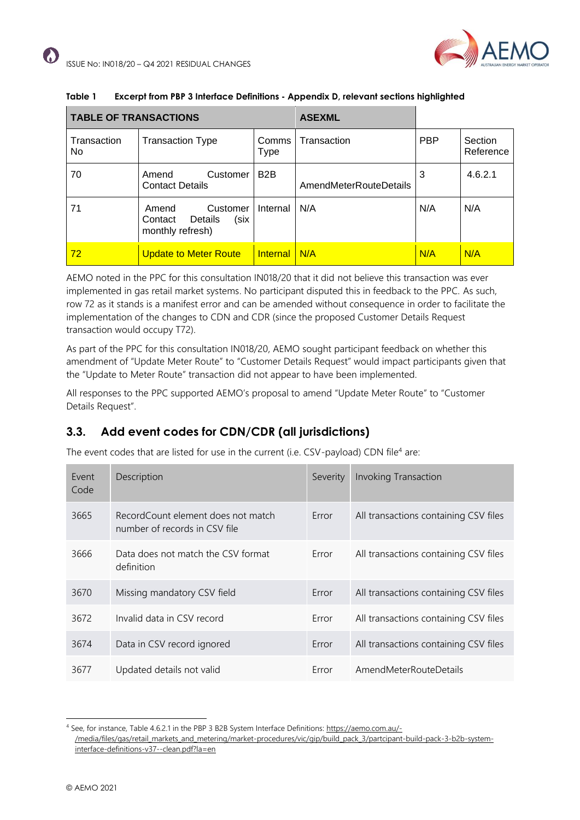

| <b>TABLE OF TRANSACTIONS</b> |                                                                     |                  | <b>ASEXML</b>          |            |                      |
|------------------------------|---------------------------------------------------------------------|------------------|------------------------|------------|----------------------|
| Transaction<br>No.           | <b>Transaction Type</b>                                             | Comms<br>Type    | Transaction            | <b>PBP</b> | Section<br>Reference |
| 70                           | Customer<br>Amend<br><b>Contact Details</b>                         | B <sub>2</sub> B | AmendMeterRouteDetails | 3          | 4.6.2.1              |
| 71                           | Customer<br>Amend<br>Contact<br>Details<br>(six<br>monthly refresh) | Internal         | N/A                    | N/A        | N/A                  |
| 72                           | <b>Update to Meter Route</b>                                        | <b>Internal</b>  | N/A                    | N/A        | N/A                  |

#### **Table 1 Excerpt from PBP 3 Interface Definitions - Appendix D, relevant sections highlighted**

AEMO noted in the PPC for this consultation IN018/20 that it did not believe this transaction was ever implemented in gas retail market systems. No participant disputed this in feedback to the PPC. As such, row 72 as it stands is a manifest error and can be amended without consequence in order to facilitate the implementation of the changes to CDN and CDR (since the proposed Customer Details Request transaction would occupy T72).

As part of the PPC for this consultation IN018/20, AEMO sought participant feedback on whether this amendment of "Update Meter Route" to "Customer Details Request" would impact participants given that the "Update to Meter Route" transaction did not appear to have been implemented.

All responses to the PPC supported AEMO's proposal to amend "Update Meter Route" to "Customer Details Request".

# **3.3. Add event codes for CDN/CDR (all jurisdictions)**

The event codes that are listed for use in the current (i.e. CSV-payload) CDN file<sup>4</sup> are:

| Event<br>Code | Description                                                         | Severity | <b>Invoking Transaction</b>           |
|---------------|---------------------------------------------------------------------|----------|---------------------------------------|
| 3665          | RecordCount element does not match<br>number of records in CSV file | Error    | All transactions containing CSV files |
| 3666          | Data does not match the CSV format<br>definition                    | Error    | All transactions containing CSV files |
| 3670          | Missing mandatory CSV field                                         | Error    | All transactions containing CSV files |
| 3672          | Invalid data in CSV record                                          | Error    | All transactions containing CSV files |
| 3674          | Data in CSV record ignored                                          | Error    | All transactions containing CSV files |
| 3677          | Updated details not valid                                           | Error    | AmendMeterRouteDetails                |

<sup>4</sup> See, for instance, Table 4.6.2.1 in the PBP 3 B2B System Interface Definitions: [https://aemo.com.au/-](https://aemo.com.au/-/media/files/gas/retail_markets_and_metering/market-procedures/vic/gip/build_pack_3/partcipant-build-pack-3-b2b-system-interface-definitions-v37--clean.pdf?la=en) [/media/files/gas/retail\\_markets\\_and\\_metering/market-procedures/vic/gip/build\\_pack\\_3/partcipant-build-pack-3-b2b-system](https://aemo.com.au/-/media/files/gas/retail_markets_and_metering/market-procedures/vic/gip/build_pack_3/partcipant-build-pack-3-b2b-system-interface-definitions-v37--clean.pdf?la=en)[interface-definitions-v37--clean.pdf?la=en](https://aemo.com.au/-/media/files/gas/retail_markets_and_metering/market-procedures/vic/gip/build_pack_3/partcipant-build-pack-3-b2b-system-interface-definitions-v37--clean.pdf?la=en)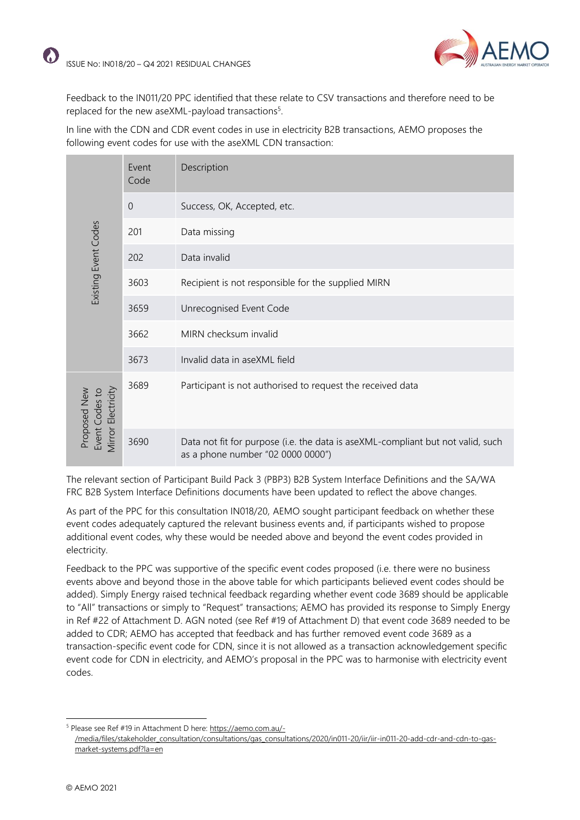

Feedback to the IN011/20 PPC identified that these relate to CSV transactions and therefore need to be replaced for the new aseXML-payload transactions $5$ .

In line with the CDN and CDR event codes in use in electricity B2B transactions, AEMO proposes the following event codes for use with the aseXML CDN transaction:

|                                                      | Event<br>Code  | Description                                                                                                          |  |  |  |  |  |
|------------------------------------------------------|----------------|----------------------------------------------------------------------------------------------------------------------|--|--|--|--|--|
|                                                      | $\overline{0}$ | Success, OK, Accepted, etc.                                                                                          |  |  |  |  |  |
|                                                      | 201            | Data missing                                                                                                         |  |  |  |  |  |
|                                                      | 202            | Data invalid                                                                                                         |  |  |  |  |  |
| Existing Event Codes<br>3603<br>3659<br>3662         |                | Recipient is not responsible for the supplied MIRN                                                                   |  |  |  |  |  |
|                                                      |                | Unrecognised Event Code                                                                                              |  |  |  |  |  |
|                                                      |                | MIRN checksum invalid                                                                                                |  |  |  |  |  |
|                                                      | 3673           | Invalid data in aseXML field                                                                                         |  |  |  |  |  |
| Mirror Electricity<br>Proposed New<br>Event Codes to | 3689           | Participant is not authorised to request the received data                                                           |  |  |  |  |  |
|                                                      | 3690           | Data not fit for purpose (i.e. the data is aseXML-compliant but not valid, such<br>as a phone number "02 0000 0000") |  |  |  |  |  |

The relevant section of Participant Build Pack 3 (PBP3) B2B System Interface Definitions and the SA/WA FRC B2B System Interface Definitions documents have been updated to reflect the above changes.

As part of the PPC for this consultation IN018/20, AEMO sought participant feedback on whether these event codes adequately captured the relevant business events and, if participants wished to propose additional event codes, why these would be needed above and beyond the event codes provided in electricity.

Feedback to the PPC was supportive of the specific event codes proposed (i.e. there were no business events above and beyond those in the above table for which participants believed event codes should be added). Simply Energy raised technical feedback regarding whether event code 3689 should be applicable to "All" transactions or simply to "Request" transactions; AEMO has provided its response to Simply Energy in Ref #22 of Attachment D. AGN noted (see Ref #19 of Attachment D) that event code 3689 needed to be added to CDR; AEMO has accepted that feedback and has further removed event code 3689 as a transaction-specific event code for CDN, since it is not allowed as a transaction acknowledgement specific event code for CDN in electricity, and AEMO's proposal in the PPC was to harmonise with electricity event codes.

<sup>5</sup> Please see Ref #19 in Attachment D here[: https://aemo.com.au/-](https://aemo.com.au/-/media/files/stakeholder_consultation/consultations/gas_consultations/2020/in011-20/iir/iir-in011-20-add-cdr-and-cdn-to-gas-market-systems.pdf?la=en) [/media/files/stakeholder\\_consultation/consultations/gas\\_consultations/2020/in011-20/iir/iir-in011-20-add-cdr-and-cdn-to-gas](https://aemo.com.au/-/media/files/stakeholder_consultation/consultations/gas_consultations/2020/in011-20/iir/iir-in011-20-add-cdr-and-cdn-to-gas-market-systems.pdf?la=en)[market-systems.pdf?la=en](https://aemo.com.au/-/media/files/stakeholder_consultation/consultations/gas_consultations/2020/in011-20/iir/iir-in011-20-add-cdr-and-cdn-to-gas-market-systems.pdf?la=en)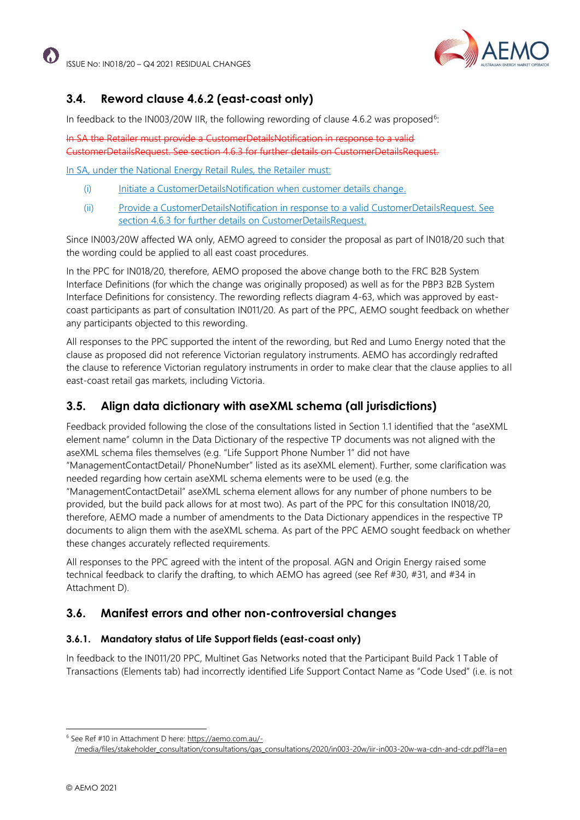

# **3.4. Reword clause 4.6.2 (east-coast only)**

In feedback to the IN003/20W IIR, the following rewording of clause 4.6.2 was proposed<sup>6</sup>:

In SA the Retailer must provide a CustomerDetailsNotification in response to a valid CustomerDetailsRequest. See section 4.6.3 for further details on CustomerDetailsRequest.

In SA, under the National Energy Retail Rules, the Retailer must:

- (i) Initiate a CustomerDetailsNotification when customer details change.
- (ii) Provide a CustomerDetailsNotification in response to a valid CustomerDetailsRequest. See section 4.6.3 for further details on CustomerDetailsRequest.

Since IN003/20W affected WA only, AEMO agreed to consider the proposal as part of IN018/20 such that the wording could be applied to all east coast procedures.

In the PPC for IN018/20, therefore, AEMO proposed the above change both to the FRC B2B System Interface Definitions (for which the change was originally proposed) as well as for the PBP3 B2B System Interface Definitions for consistency. The rewording reflects diagram 4-63, which was approved by eastcoast participants as part of consultation IN011/20. As part of the PPC, AEMO sought feedback on whether any participants objected to this rewording.

All responses to the PPC supported the intent of the rewording, but Red and Lumo Energy noted that the clause as proposed did not reference Victorian regulatory instruments. AEMO has accordingly redrafted the clause to reference Victorian regulatory instruments in order to make clear that the clause applies to all east-coast retail gas markets, including Victoria.

### **3.5. Align data dictionary with aseXML schema (all jurisdictions)**

Feedback provided following the close of the consultations listed in Section 1.1 identified that the "aseXML element name" column in the Data Dictionary of the respective TP documents was not aligned with the aseXML schema files themselves (e.g. "Life Support Phone Number 1" did not have "ManagementContactDetail/ PhoneNumber" listed as its aseXML element). Further, some clarification was

needed regarding how certain aseXML schema elements were to be used (e.g. the

"ManagementContactDetail" aseXML schema element allows for any number of phone numbers to be provided, but the build pack allows for at most two). As part of the PPC for this consultation IN018/20, therefore, AEMO made a number of amendments to the Data Dictionary appendices in the respective TP documents to align them with the aseXML schema. As part of the PPC AEMO sought feedback on whether these changes accurately reflected requirements.

All responses to the PPC agreed with the intent of the proposal. AGN and Origin Energy raised some technical feedback to clarify the drafting, to which AEMO has agreed (see Ref #30, #31, and #34 in Attachment D).

### **3.6. Manifest errors and other non-controversial changes**

#### **3.6.1. Mandatory status of Life Support fields (east-coast only)**

In feedback to the IN011/20 PPC, Multinet Gas Networks noted that the Participant Build Pack 1 Table of Transactions (Elements tab) had incorrectly identified Life Support Contact Name as "Code Used" (i.e. is not

[/media/files/stakeholder\\_consultation/consultations/gas\\_consultations/2020/in003-20w/iir-in003-20w-wa-cdn-and-cdr.pdf?la=en](https://aemo.com.au/-/media/files/stakeholder_consultation/consultations/gas_consultations/2020/in003-20w/iir-in003-20w-wa-cdn-and-cdr.pdf?la=en)

<sup>6</sup> See Ref #10 in Attachment D here[: https://aemo.com.au/-](https://aemo.com.au/-/media/files/stakeholder_consultation/consultations/gas_consultations/2020/in003-20w/iir-in003-20w-wa-cdn-and-cdr.pdf?la=en)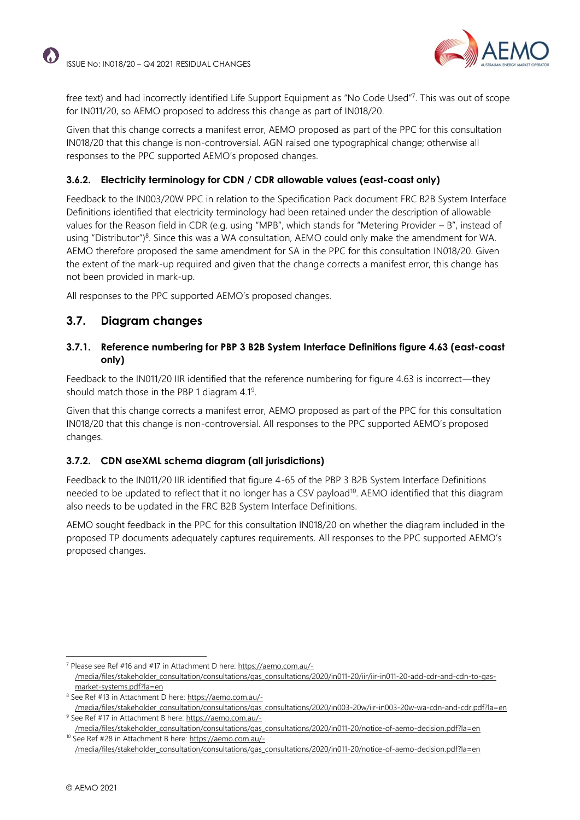

free text) and had incorrectly identified Life Support Equipment as "No Code Used"<sup>7</sup> . This was out of scope for IN011/20, so AEMO proposed to address this change as part of IN018/20.

Given that this change corrects a manifest error, AEMO proposed as part of the PPC for this consultation IN018/20 that this change is non-controversial. AGN raised one typographical change; otherwise all responses to the PPC supported AEMO's proposed changes.

#### **3.6.2. Electricity terminology for CDN / CDR allowable values (east-coast only)**

Feedback to the IN003/20W PPC in relation to the Specification Pack document FRC B2B System Interface Definitions identified that electricity terminology had been retained under the description of allowable values for the Reason field in CDR (e.g. using "MPB", which stands for "Metering Provider – B", instead of using "Distributor")<sup>8</sup>. Since this was a WA consultation, AEMO could only make the amendment for WA. AEMO therefore proposed the same amendment for SA in the PPC for this consultation IN018/20. Given the extent of the mark-up required and given that the change corrects a manifest error, this change has not been provided in mark-up.

All responses to the PPC supported AEMO's proposed changes.

#### **3.7. Diagram changes**

#### **3.7.1. Reference numbering for PBP 3 B2B System Interface Definitions figure 4.63 (east-coast only)**

Feedback to the IN011/20 IIR identified that the reference numbering for figure 4.63 is incorrect—they should match those in the PBP 1 diagram 4.1<sup>9</sup>.

Given that this change corrects a manifest error, AEMO proposed as part of the PPC for this consultation IN018/20 that this change is non-controversial. All responses to the PPC supported AEMO's proposed changes.

#### **3.7.2. CDN aseXML schema diagram (all jurisdictions)**

Feedback to the IN011/20 IIR identified that figure 4-65 of the PBP 3 B2B System Interface Definitions needed to be updated to reflect that it no longer has a CSV payload<sup>10</sup>. AEMO identified that this diagram also needs to be updated in the FRC B2B System Interface Definitions.

AEMO sought feedback in the PPC for this consultation IN018/20 on whether the diagram included in the proposed TP documents adequately captures requirements. All responses to the PPC supported AEMO's proposed changes.

<sup>7</sup> Please see Ref #16 and #17 in Attachment D here[: https://aemo.com.au/-](https://aemo.com.au/-/media/files/stakeholder_consultation/consultations/gas_consultations/2020/in011-20/iir/iir-in011-20-add-cdr-and-cdn-to-gas-market-systems.pdf?la=en) [/media/files/stakeholder\\_consultation/consultations/gas\\_consultations/2020/in011-20/iir/iir-in011-20-add-cdr-and-cdn-to-gas](https://aemo.com.au/-/media/files/stakeholder_consultation/consultations/gas_consultations/2020/in011-20/iir/iir-in011-20-add-cdr-and-cdn-to-gas-market-systems.pdf?la=en)[market-systems.pdf?la=en](https://aemo.com.au/-/media/files/stakeholder_consultation/consultations/gas_consultations/2020/in011-20/iir/iir-in011-20-add-cdr-and-cdn-to-gas-market-systems.pdf?la=en)

<sup>8</sup> See Ref #13 in Attachment D here[: https://aemo.com.au/-](https://aemo.com.au/-/media/files/stakeholder_consultation/consultations/gas_consultations/2020/in003-20w/iir-in003-20w-wa-cdn-and-cdr.pdf?la=en)

[<sup>/</sup>media/files/stakeholder\\_consultation/consultations/gas\\_consultations/2020/in003-20w/iir-in003-20w-wa-cdn-and-cdr.pdf?la=en](https://aemo.com.au/-/media/files/stakeholder_consultation/consultations/gas_consultations/2020/in003-20w/iir-in003-20w-wa-cdn-and-cdr.pdf?la=en) <sup>9</sup> See Ref #17 in Attachment B here: [https://aemo.com.au/-](https://aemo.com.au/-/media/files/stakeholder_consultation/consultations/gas_consultations/2020/in011-20/notice-of-aemo-decision.pdf?la=en)

[<sup>/</sup>media/files/stakeholder\\_consultation/consultations/gas\\_consultations/2020/in011-20/notice-of-aemo-decision.pdf?la=en](https://aemo.com.au/-/media/files/stakeholder_consultation/consultations/gas_consultations/2020/in011-20/notice-of-aemo-decision.pdf?la=en) <sup>10</sup> See Ref #28 in Attachment B here[: https://aemo.com.au/-](https://aemo.com.au/-/media/files/stakeholder_consultation/consultations/gas_consultations/2020/in011-20/notice-of-aemo-decision.pdf?la=en)

[<sup>/</sup>media/files/stakeholder\\_consultation/consultations/gas\\_consultations/2020/in011-20/notice-of-aemo-decision.pdf?la=en](https://aemo.com.au/-/media/files/stakeholder_consultation/consultations/gas_consultations/2020/in011-20/notice-of-aemo-decision.pdf?la=en)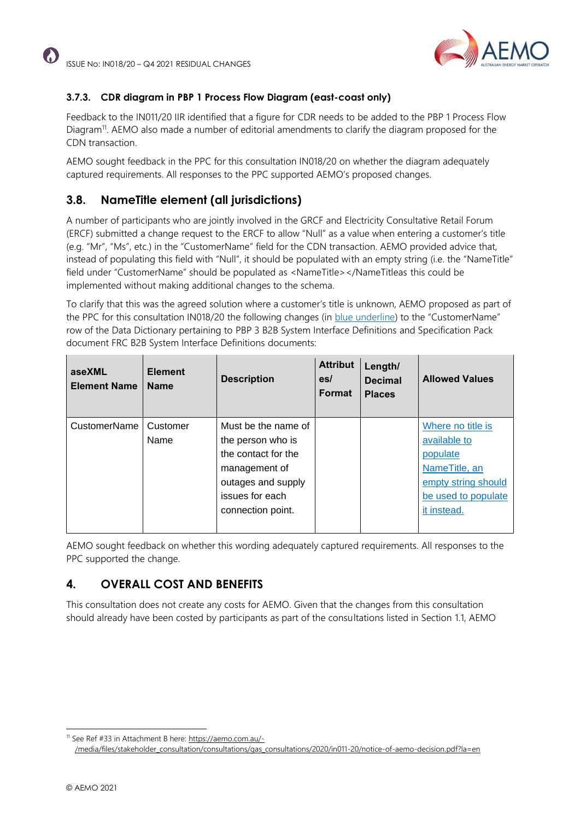

#### **3.7.3. CDR diagram in PBP 1 Process Flow Diagram (east-coast only)**

Feedback to the IN011/20 IIR identified that a figure for CDR needs to be added to the PBP 1 Process Flow Diagram<sup>11</sup>. AEMO also made a number of editorial amendments to clarify the diagram proposed for the CDN transaction.

AEMO sought feedback in the PPC for this consultation IN018/20 on whether the diagram adequately captured requirements. All responses to the PPC supported AEMO's proposed changes.

# **3.8. NameTitle element (all jurisdictions)**

A number of participants who are jointly involved in the GRCF and Electricity Consultative Retail Forum (ERCF) submitted a change request to the ERCF to allow "Null" as a value when entering a customer's title (e.g. "Mr", "Ms", etc.) in the "CustomerName" field for the CDN transaction. AEMO provided advice that, instead of populating this field with "Null", it should be populated with an empty string (i.e. the "NameTitle" field under "CustomerName" should be populated as <NameTitle></NameTitleas this could be implemented without making additional changes to the schema.

To clarify that this was the agreed solution where a customer's title is unknown, AEMO proposed as part of the PPC for this consultation IN018/20 the following changes (in blue underline) to the "CustomerName" row of the Data Dictionary pertaining to PBP 3 B2B System Interface Definitions and Specification Pack document FRC B2B System Interface Definitions documents:

| aseXML<br><b>Element Name</b> | <b>Element</b><br><b>Name</b> | <b>Description</b>  | <b>Attribut</b><br>es/<br>Format | Length/<br><b>Decimal</b><br><b>Places</b> | <b>Allowed Values</b> |
|-------------------------------|-------------------------------|---------------------|----------------------------------|--------------------------------------------|-----------------------|
| CustomerName                  | Customer                      | Must be the name of |                                  |                                            | Where no title is     |
|                               | Name                          | the person who is   |                                  |                                            | available to          |
|                               |                               | the contact for the |                                  |                                            | populate              |
|                               |                               | management of       |                                  |                                            | NameTitle, an         |
|                               |                               | outages and supply  |                                  |                                            | empty string should   |
|                               |                               | issues for each     |                                  |                                            | be used to populate   |
|                               |                               | connection point.   |                                  |                                            | it instead.           |
|                               |                               |                     |                                  |                                            |                       |

AEMO sought feedback on whether this wording adequately captured requirements. All responses to the PPC supported the change.

### **4. OVERALL COST AND BENEFITS**

This consultation does not create any costs for AEMO. Given that the changes from this consultation should already have been costed by participants as part of the consultations listed in Section [1.1,](#page-1-0) AEMO

<sup>11</sup> See Ref #33 in Attachment B here[: https://aemo.com.au/-](https://aemo.com.au/-/media/files/stakeholder_consultation/consultations/gas_consultations/2020/in011-20/notice-of-aemo-decision.pdf?la=en)

[<sup>/</sup>media/files/stakeholder\\_consultation/consultations/gas\\_consultations/2020/in011-20/notice-of-aemo-decision.pdf?la=en](https://aemo.com.au/-/media/files/stakeholder_consultation/consultations/gas_consultations/2020/in011-20/notice-of-aemo-decision.pdf?la=en)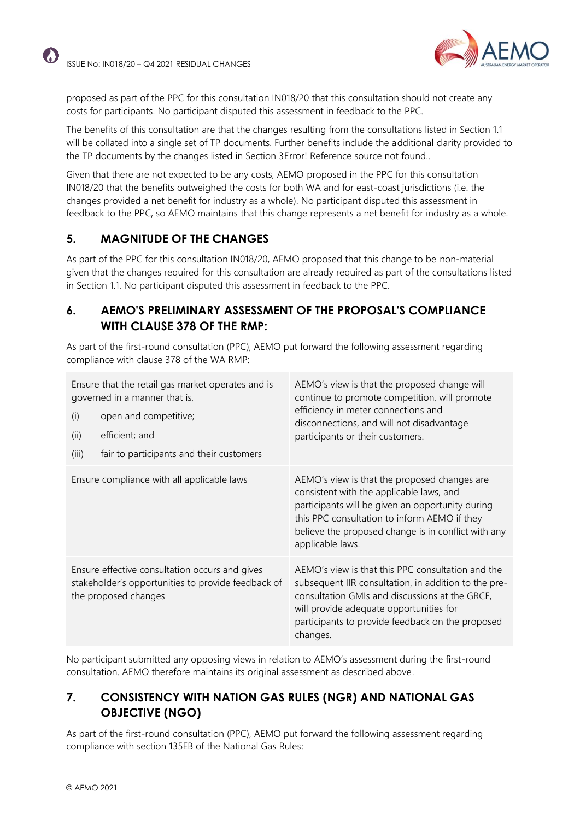

proposed as part of the PPC for this consultation IN018/20 that this consultation should not create any costs for participants. No participant disputed this assessment in feedback to the PPC.

The benefits of this consultation are that the changes resulting from the consultations listed in Section 1.1 will be collated into a single set of TP documents. Further benefits include the additional clarity provided to the TP documents by the changes listed in Section 3Error! Reference source not found..

Given that there are not expected to be any costs, AEMO proposed in the PPC for this consultation IN018/20 that the benefits outweighed the costs for both WA and for east-coast jurisdictions (i.e. the changes provided a net benefit for industry as a whole). No participant disputed this assessment in feedback to the PPC, so AEMO maintains that this change represents a net benefit for industry as a whole.

# **5. MAGNITUDE OF THE CHANGES**

As part of the PPC for this consultation IN018/20, AEMO proposed that this change to be non-material given that the changes required for this consultation are already required as part of the consultations listed in Section [1.1.](#page-1-0) No participant disputed this assessment in feedback to the PPC.

### **6. AEMO'S PRELIMINARY ASSESSMENT OF THE PROPOSAL'S COMPLIANCE WITH CLAUSE 378 OF THE RMP:**

As part of the first-round consultation (PPC), AEMO put forward the following assessment regarding compliance with clause 378 of the WA RMP:

| Ensure that the retail gas market operates and is<br>governed in a manner that is,<br>open and competitive;<br>(i)<br>(ii)<br>efficient; and<br>fair to participants and their customers<br>(iii) | AEMO's view is that the proposed change will<br>continue to promote competition, will promote<br>efficiency in meter connections and<br>disconnections, and will not disadvantage<br>participants or their customers.                                                   |
|---------------------------------------------------------------------------------------------------------------------------------------------------------------------------------------------------|-------------------------------------------------------------------------------------------------------------------------------------------------------------------------------------------------------------------------------------------------------------------------|
| Ensure compliance with all applicable laws                                                                                                                                                        | AEMO's view is that the proposed changes are<br>consistent with the applicable laws, and<br>participants will be given an opportunity during<br>this PPC consultation to inform AEMO if they<br>believe the proposed change is in conflict with any<br>applicable laws. |
| Ensure effective consultation occurs and gives<br>stakeholder's opportunities to provide feedback of<br>the proposed changes                                                                      | AEMO's view is that this PPC consultation and the<br>subsequent IIR consultation, in addition to the pre-<br>consultation GMIs and discussions at the GRCF,<br>will provide adequate opportunities for<br>participants to provide feedback on the proposed<br>changes.  |

No participant submitted any opposing views in relation to AEMO's assessment during the first-round consultation. AEMO therefore maintains its original assessment as described above.

### **7. CONSISTENCY WITH NATION GAS RULES (NGR) AND NATIONAL GAS OBJECTIVE (NGO)**

As part of the first-round consultation (PPC), AEMO put forward the following assessment regarding compliance with section 135EB of the National Gas Rules: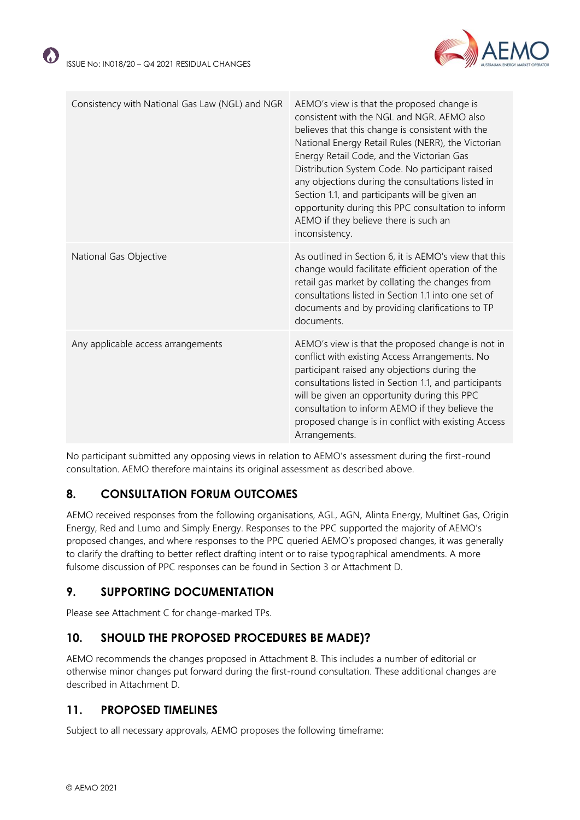$\Omega$ 



| Consistency with National Gas Law (NGL) and NGR | AEMO's view is that the proposed change is<br>consistent with the NGL and NGR. AEMO also<br>believes that this change is consistent with the<br>National Energy Retail Rules (NERR), the Victorian<br>Energy Retail Code, and the Victorian Gas<br>Distribution System Code. No participant raised<br>any objections during the consultations listed in<br>Section 1.1, and participants will be given an<br>opportunity during this PPC consultation to inform<br>AEMO if they believe there is such an<br>inconsistency. |
|-------------------------------------------------|----------------------------------------------------------------------------------------------------------------------------------------------------------------------------------------------------------------------------------------------------------------------------------------------------------------------------------------------------------------------------------------------------------------------------------------------------------------------------------------------------------------------------|
| National Gas Objective                          | As outlined in Section 6, it is AEMO's view that this<br>change would facilitate efficient operation of the<br>retail gas market by collating the changes from<br>consultations listed in Section 1.1 into one set of<br>documents and by providing clarifications to TP<br>documents.                                                                                                                                                                                                                                     |
| Any applicable access arrangements              | AEMO's view is that the proposed change is not in<br>conflict with existing Access Arrangements. No<br>participant raised any objections during the<br>consultations listed in Section 1.1, and participants<br>will be given an opportunity during this PPC<br>consultation to inform AEMO if they believe the<br>proposed change is in conflict with existing Access<br>Arrangements.                                                                                                                                    |

No participant submitted any opposing views in relation to AEMO's assessment during the first-round consultation. AEMO therefore maintains its original assessment as described above.

# **8. CONSULTATION FORUM OUTCOMES**

AEMO received responses from the following organisations, AGL, AGN, Alinta Energy, Multinet Gas, Origin Energy, Red and Lumo and Simply Energy. Responses to the PPC supported the majority of AEMO's proposed changes, and where responses to the PPC queried AEMO's proposed changes, it was generally to clarify the drafting to better reflect drafting intent or to raise typographical amendments. A more fulsome discussion of PPC responses can be found in Section 3 or Attachment D.

# **9. SUPPORTING DOCUMENTATION**

Please see Attachment C for change-marked TPs.

# **10. SHOULD THE PROPOSED PROCEDURES BE MADE)?**

AEMO recommends the changes proposed in Attachment B. This includes a number of editorial or otherwise minor changes put forward during the first-round consultation. These additional changes are described in Attachment D.

# **11. PROPOSED TIMELINES**

Subject to all necessary approvals, AEMO proposes the following timeframe: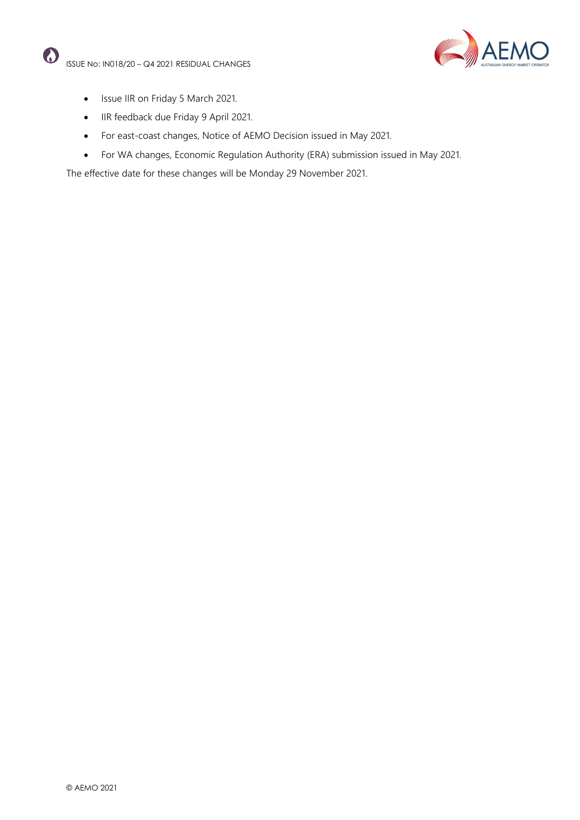

- Issue IIR on Friday 5 March 2021.
- IIR feedback due Friday 9 April 2021.
- For east-coast changes, Notice of AEMO Decision issued in May 2021.
- For WA changes, Economic Regulation Authority (ERA) submission issued in May 2021.

The effective date for these changes will be Monday 29 November 2021.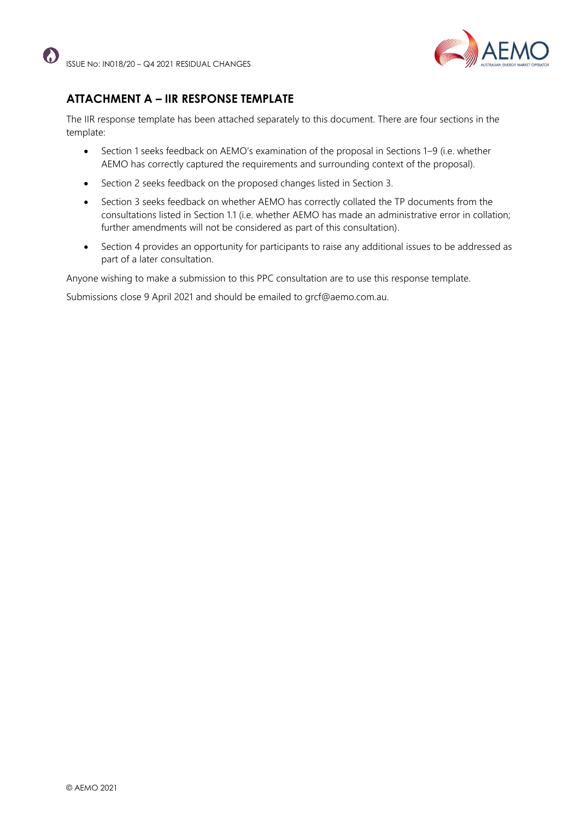

# **ATTACHMENT A – IIR RESPONSE TEMPLATE**

The IIR response template has been attached separately to this document. There are four sections in the template:

- Section 1 seeks feedback on AEMO's examination of the proposal in Sections 1–9 (i.e. whether AEMO has correctly captured the requirements and surrounding context of the proposal).
- Section 2 seeks feedback on the proposed changes listed in Section 3.
- Section 3 seeks feedback on whether AEMO has correctly collated the TP documents from the consultations listed in Section 1.1 (i.e. whether AEMO has made an administrative error in collation; further amendments will not be considered as part of this consultation).
- Section 4 provides an opportunity for participants to raise any additional issues to be addressed as part of a later consultation.

Anyone wishing to make a submission to this PPC consultation are to use this response template.

Submissions close 9 April 2021 and should be emailed to grcf@aemo.com.au.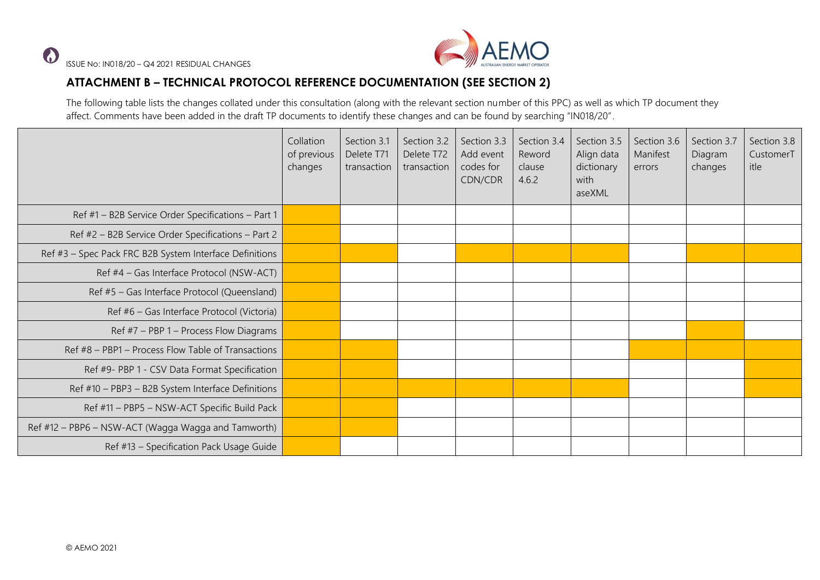

# **ATTACHMENT B – TECHNICAL PROTOCOL REFERENCE DOCUMENTATION (SEE SECTION 2)**

The following table lists the changes collated under this consultation (along with the relevant section number of this PPC) as well as which TP document they affect. Comments have been added in the draft TP documents to identify these changes and can be found by searching "IN018/20".

|                                                         | Collation<br>of previous<br>changes | Section 3.1<br>Delete T71<br>transaction | Section 3.2<br>Delete T72<br>transaction | Section 3.3<br>Add event<br>codes for<br>CDN/CDR | Section 3.4<br>Reword<br>clause<br>4.6.2 | Section 3.5<br>Align data<br>dictionary<br>with<br>aseXML | Section 3.6<br>Manifest<br>errors | Section 3.7<br>Diagram<br>changes | Section 3.8<br>CustomerT<br>itle |
|---------------------------------------------------------|-------------------------------------|------------------------------------------|------------------------------------------|--------------------------------------------------|------------------------------------------|-----------------------------------------------------------|-----------------------------------|-----------------------------------|----------------------------------|
| Ref #1 - B2B Service Order Specifications - Part 1      |                                     |                                          |                                          |                                                  |                                          |                                                           |                                   |                                   |                                  |
| Ref #2 - B2B Service Order Specifications - Part 2      |                                     |                                          |                                          |                                                  |                                          |                                                           |                                   |                                   |                                  |
| Ref #3 - Spec Pack FRC B2B System Interface Definitions |                                     |                                          |                                          |                                                  |                                          |                                                           |                                   |                                   |                                  |
| Ref #4 - Gas Interface Protocol (NSW-ACT)               |                                     |                                          |                                          |                                                  |                                          |                                                           |                                   |                                   |                                  |
| Ref #5 - Gas Interface Protocol (Queensland)            |                                     |                                          |                                          |                                                  |                                          |                                                           |                                   |                                   |                                  |
| Ref #6 - Gas Interface Protocol (Victoria)              |                                     |                                          |                                          |                                                  |                                          |                                                           |                                   |                                   |                                  |
| Ref $#7$ – PBP 1 – Process Flow Diagrams                |                                     |                                          |                                          |                                                  |                                          |                                                           |                                   |                                   |                                  |
| Ref #8 - PBP1 - Process Flow Table of Transactions      |                                     |                                          |                                          |                                                  |                                          |                                                           |                                   |                                   |                                  |
| Ref #9- PBP 1 - CSV Data Format Specification           |                                     |                                          |                                          |                                                  |                                          |                                                           |                                   |                                   |                                  |
| Ref #10 - PBP3 - B2B System Interface Definitions       |                                     |                                          |                                          |                                                  |                                          |                                                           |                                   |                                   |                                  |
| Ref #11 - PBP5 - NSW-ACT Specific Build Pack            |                                     |                                          |                                          |                                                  |                                          |                                                           |                                   |                                   |                                  |
| Ref #12 - PBP6 - NSW-ACT (Wagga Wagga and Tamworth)     |                                     |                                          |                                          |                                                  |                                          |                                                           |                                   |                                   |                                  |
| Ref #13 - Specification Pack Usage Guide                |                                     |                                          |                                          |                                                  |                                          |                                                           |                                   |                                   |                                  |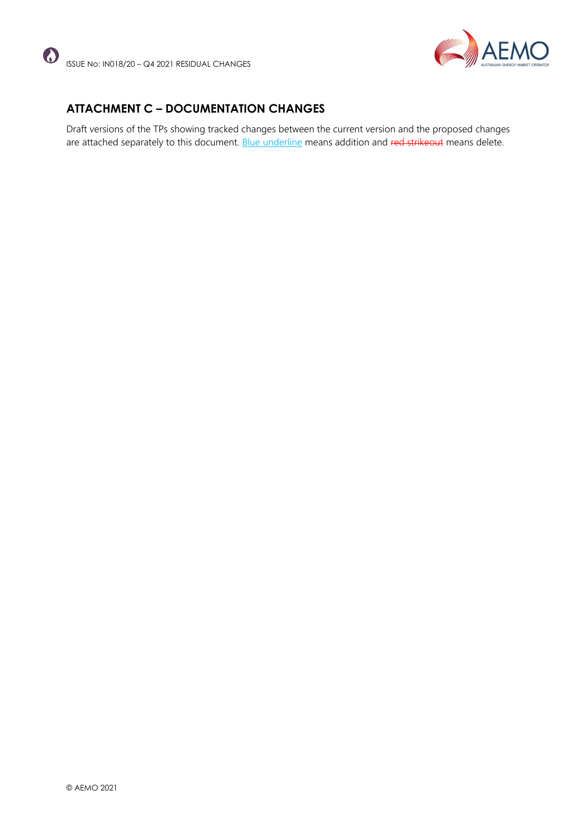



# **ATTACHMENT C – DOCUMENTATION CHANGES**

Draft versions of the TPs showing tracked changes between the current version and the proposed changes are attached separately to this document. Blue underline means addition and red strikeout means delete.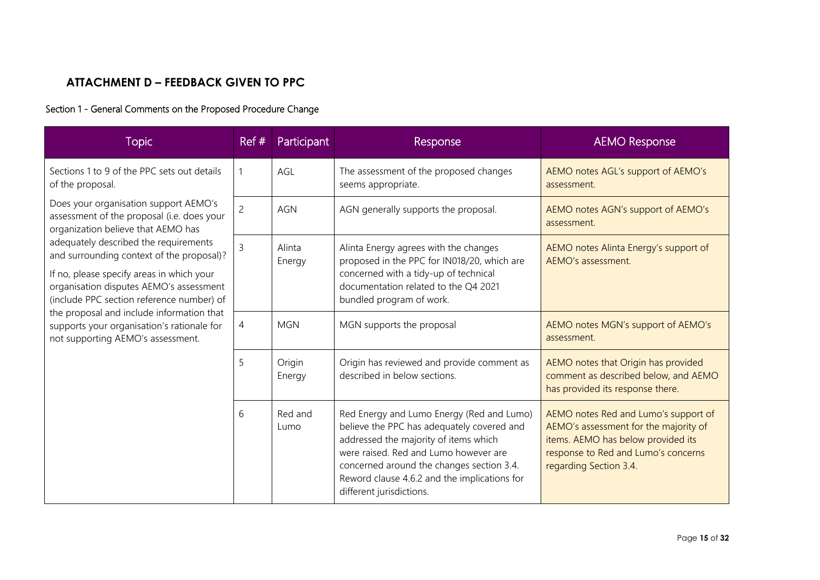# **ATTACHMENT D – FEEDBACK GIVEN TO PPC**

## Section 1 - General Comments on the Proposed Procedure Change

| <b>Topic</b>                                                                                                                                                                                                                                                                                                                                            | Ref#           | Participant      | Response                                                                                                                                                                                                                                                                                           | <b>AEMO Response</b>                                                                                                                                                                 |
|---------------------------------------------------------------------------------------------------------------------------------------------------------------------------------------------------------------------------------------------------------------------------------------------------------------------------------------------------------|----------------|------------------|----------------------------------------------------------------------------------------------------------------------------------------------------------------------------------------------------------------------------------------------------------------------------------------------------|--------------------------------------------------------------------------------------------------------------------------------------------------------------------------------------|
| Sections 1 to 9 of the PPC sets out details<br>of the proposal.                                                                                                                                                                                                                                                                                         |                | AGL              | The assessment of the proposed changes<br>seems appropriate.                                                                                                                                                                                                                                       | AEMO notes AGL's support of AEMO's<br>assessment.                                                                                                                                    |
| Does your organisation support AEMO's<br>assessment of the proposal (i.e. does your<br>organization believe that AEMO has                                                                                                                                                                                                                               | $\overline{2}$ | <b>AGN</b>       | AGN generally supports the proposal.                                                                                                                                                                                                                                                               | AEMO notes AGN's support of AEMO's<br>assessment.                                                                                                                                    |
| adequately described the requirements<br>and surrounding context of the proposal)?<br>If no, please specify areas in which your<br>organisation disputes AEMO's assessment<br>(include PPC section reference number) of<br>the proposal and include information that<br>supports your organisation's rationale for<br>not supporting AEMO's assessment. | 3              | Alinta<br>Energy | Alinta Energy agrees with the changes<br>proposed in the PPC for IN018/20, which are<br>concerned with a tidy-up of technical<br>documentation related to the Q4 2021<br>bundled program of work.                                                                                                  | AEMO notes Alinta Energy's support of<br>AEMO's assessment.                                                                                                                          |
|                                                                                                                                                                                                                                                                                                                                                         | 4              | <b>MGN</b>       | MGN supports the proposal                                                                                                                                                                                                                                                                          | AEMO notes MGN's support of AEMO's<br>assessment.                                                                                                                                    |
|                                                                                                                                                                                                                                                                                                                                                         | 5              | Origin<br>Energy | Origin has reviewed and provide comment as<br>described in below sections.                                                                                                                                                                                                                         | AEMO notes that Origin has provided<br>comment as described below, and AEMO<br>has provided its response there.                                                                      |
|                                                                                                                                                                                                                                                                                                                                                         | 6              | Red and<br>Lumo  | Red Energy and Lumo Energy (Red and Lumo)<br>believe the PPC has adequately covered and<br>addressed the majority of items which<br>were raised. Red and Lumo however are<br>concerned around the changes section 3.4.<br>Reword clause 4.6.2 and the implications for<br>different jurisdictions. | AEMO notes Red and Lumo's support of<br>AEMO's assessment for the majority of<br>items. AEMO has below provided its<br>response to Red and Lumo's concerns<br>regarding Section 3.4. |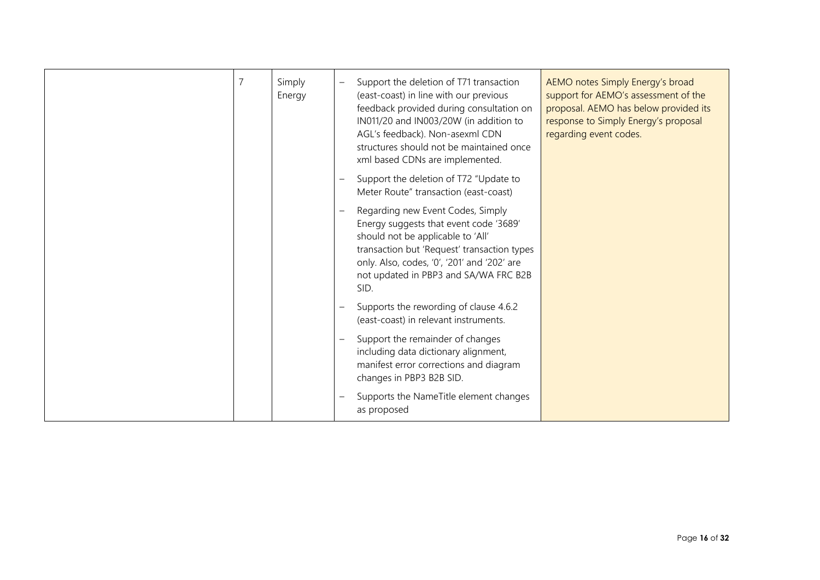| $\overline{7}$ | Simply<br>Energy | Support the deletion of T71 transaction<br>AEMO notes Simply Energy's broad<br>$\overline{\phantom{0}}$<br>(east-coast) in line with our previous<br>support for AEMO's assessment of the<br>proposal. AEMO has below provided its<br>feedback provided during consultation on<br>IN011/20 and IN003/20W (in addition to<br>response to Simply Energy's proposal<br>regarding event codes.<br>AGL's feedback). Non-asexml CDN<br>structures should not be maintained once<br>xml based CDNs are implemented. |
|----------------|------------------|--------------------------------------------------------------------------------------------------------------------------------------------------------------------------------------------------------------------------------------------------------------------------------------------------------------------------------------------------------------------------------------------------------------------------------------------------------------------------------------------------------------|
|                |                  | Support the deletion of T72 "Update to<br>Meter Route" transaction (east-coast)                                                                                                                                                                                                                                                                                                                                                                                                                              |
|                |                  | Regarding new Event Codes, Simply<br>$\overline{\phantom{m}}$<br>Energy suggests that event code '3689'<br>should not be applicable to 'All'<br>transaction but 'Request' transaction types<br>only. Also, codes, '0', '201' and '202' are<br>not updated in PBP3 and SA/WA FRC B2B<br>SID.                                                                                                                                                                                                                  |
|                |                  | Supports the rewording of clause 4.6.2<br>(east-coast) in relevant instruments.                                                                                                                                                                                                                                                                                                                                                                                                                              |
|                |                  | Support the remainder of changes<br>$\overline{\phantom{0}}$<br>including data dictionary alignment,<br>manifest error corrections and diagram<br>changes in PBP3 B2B SID.                                                                                                                                                                                                                                                                                                                                   |
|                |                  | Supports the NameTitle element changes<br>as proposed                                                                                                                                                                                                                                                                                                                                                                                                                                                        |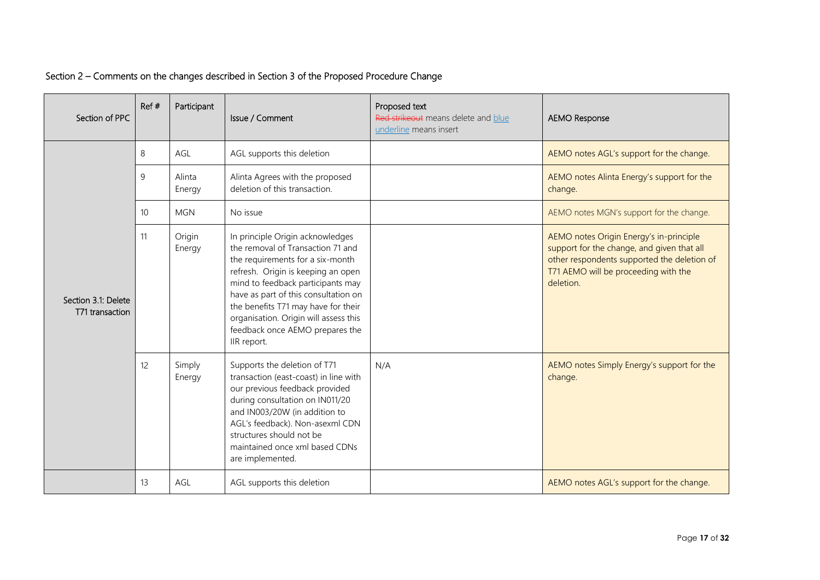| Section of PPC                         | Ref# | Participant      | Issue / Comment                                                                                                                                                                                                                                                                                                                                                | Proposed text<br>Red strikeout means delete and blue<br>underline means insert | <b>AEMO Response</b>                                                                                                                                                                      |
|----------------------------------------|------|------------------|----------------------------------------------------------------------------------------------------------------------------------------------------------------------------------------------------------------------------------------------------------------------------------------------------------------------------------------------------------------|--------------------------------------------------------------------------------|-------------------------------------------------------------------------------------------------------------------------------------------------------------------------------------------|
|                                        | 8    | AGL              | AGL supports this deletion                                                                                                                                                                                                                                                                                                                                     |                                                                                | AEMO notes AGL's support for the change.                                                                                                                                                  |
|                                        | 9    | Alinta<br>Energy | Alinta Agrees with the proposed<br>deletion of this transaction.                                                                                                                                                                                                                                                                                               |                                                                                | AEMO notes Alinta Energy's support for the<br>change.                                                                                                                                     |
|                                        | 10   | <b>MGN</b>       | No issue                                                                                                                                                                                                                                                                                                                                                       |                                                                                | AEMO notes MGN's support for the change.                                                                                                                                                  |
| Section 3.1: Delete<br>T71 transaction | 11   | Origin<br>Energy | In principle Origin acknowledges<br>the removal of Transaction 71 and<br>the requirements for a six-month<br>refresh. Origin is keeping an open<br>mind to feedback participants may<br>have as part of this consultation on<br>the benefits T71 may have for their<br>organisation. Origin will assess this<br>feedback once AEMO prepares the<br>IIR report. |                                                                                | AEMO notes Origin Energy's in-principle<br>support for the change, and given that all<br>other respondents supported the deletion of<br>T71 AEMO will be proceeding with the<br>deletion. |
|                                        | 12   | Simply<br>Energy | Supports the deletion of T71<br>transaction (east-coast) in line with<br>our previous feedback provided<br>during consultation on IN011/20<br>and IN003/20W (in addition to<br>AGL's feedback). Non-asexml CDN<br>structures should not be<br>maintained once xml based CDNs<br>are implemented.                                                               | N/A                                                                            | AEMO notes Simply Energy's support for the<br>change.                                                                                                                                     |
|                                        | 13   | AGL              | AGL supports this deletion                                                                                                                                                                                                                                                                                                                                     |                                                                                | AEMO notes AGL's support for the change.                                                                                                                                                  |

## Section 2 – Comments on the changes described in Section 3 of the Proposed Procedure Change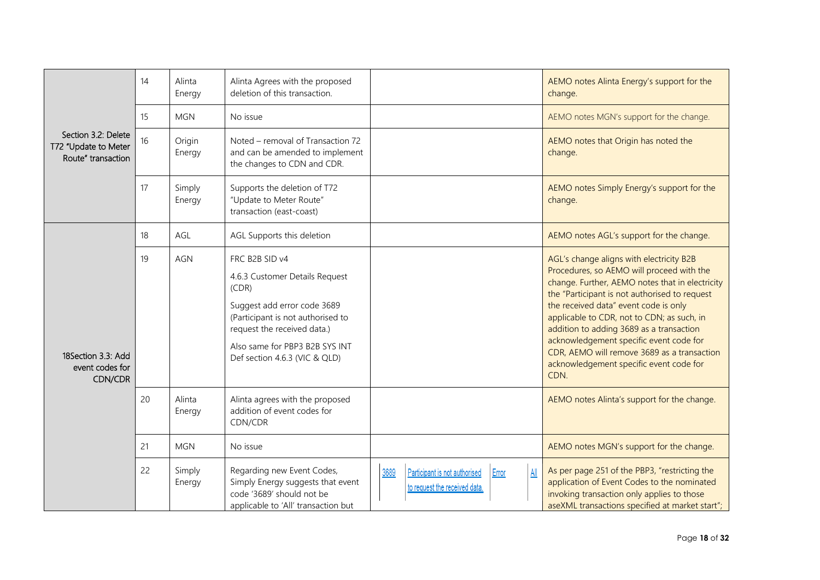|                                                                   | 14 | Alinta<br>Energy | Alinta Agrees with the proposed<br>deletion of this transaction.                                                                                                                                                                |                                                                                                               | AEMO notes Alinta Energy's support for the<br>change.                                                                                                                                                                                                                                                                                                                                                                                                                     |
|-------------------------------------------------------------------|----|------------------|---------------------------------------------------------------------------------------------------------------------------------------------------------------------------------------------------------------------------------|---------------------------------------------------------------------------------------------------------------|---------------------------------------------------------------------------------------------------------------------------------------------------------------------------------------------------------------------------------------------------------------------------------------------------------------------------------------------------------------------------------------------------------------------------------------------------------------------------|
|                                                                   | 15 | <b>MGN</b>       | No issue                                                                                                                                                                                                                        |                                                                                                               | AEMO notes MGN's support for the change.                                                                                                                                                                                                                                                                                                                                                                                                                                  |
| Section 3.2: Delete<br>T72 "Update to Meter<br>Route" transaction | 16 | Origin<br>Energy | Noted - removal of Transaction 72<br>and can be amended to implement<br>the changes to CDN and CDR.                                                                                                                             |                                                                                                               | AEMO notes that Origin has noted the<br>change.                                                                                                                                                                                                                                                                                                                                                                                                                           |
|                                                                   | 17 | Simply<br>Energy | Supports the deletion of T72<br>"Update to Meter Route"<br>transaction (east-coast)                                                                                                                                             |                                                                                                               | AEMO notes Simply Energy's support for the<br>change.                                                                                                                                                                                                                                                                                                                                                                                                                     |
|                                                                   | 18 | AGL              | AGL Supports this deletion                                                                                                                                                                                                      |                                                                                                               | AEMO notes AGL's support for the change.                                                                                                                                                                                                                                                                                                                                                                                                                                  |
| 18Section 3.3: Add<br>event codes for<br>CDN/CDR                  | 19 | <b>AGN</b>       | FRC B2B SID v4<br>4.6.3 Customer Details Request<br>(CDR)<br>Suggest add error code 3689<br>(Participant is not authorised to<br>request the received data.)<br>Also same for PBP3 B2B SYS INT<br>Def section 4.6.3 (VIC & QLD) |                                                                                                               | AGL's change aligns with electricity B2B<br>Procedures, so AEMO will proceed with the<br>change. Further, AEMO notes that in electricity<br>the "Participant is not authorised to request<br>the received data" event code is only<br>applicable to CDR, not to CDN; as such, in<br>addition to adding 3689 as a transaction<br>acknowledgement specific event code for<br>CDR, AEMO will remove 3689 as a transaction<br>acknowledgement specific event code for<br>CDN. |
|                                                                   | 20 | Alinta<br>Energy | Alinta agrees with the proposed<br>addition of event codes for<br>CDN/CDR                                                                                                                                                       |                                                                                                               | AEMO notes Alinta's support for the change.                                                                                                                                                                                                                                                                                                                                                                                                                               |
|                                                                   | 21 | <b>MGN</b>       | No issue                                                                                                                                                                                                                        |                                                                                                               | AEMO notes MGN's support for the change.                                                                                                                                                                                                                                                                                                                                                                                                                                  |
|                                                                   | 22 | Simply<br>Energy | Regarding new Event Codes,<br>Simply Energy suggests that event<br>code '3689' should not be<br>applicable to 'All' transaction but                                                                                             | 3689<br>$\underline{\mathsf{All}}$<br>Participant is not authorised<br>Error<br>to request the received data. | As per page 251 of the PBP3, "restricting the<br>application of Event Codes to the nominated<br>invoking transaction only applies to those<br>aseXML transactions specified at market start";                                                                                                                                                                                                                                                                             |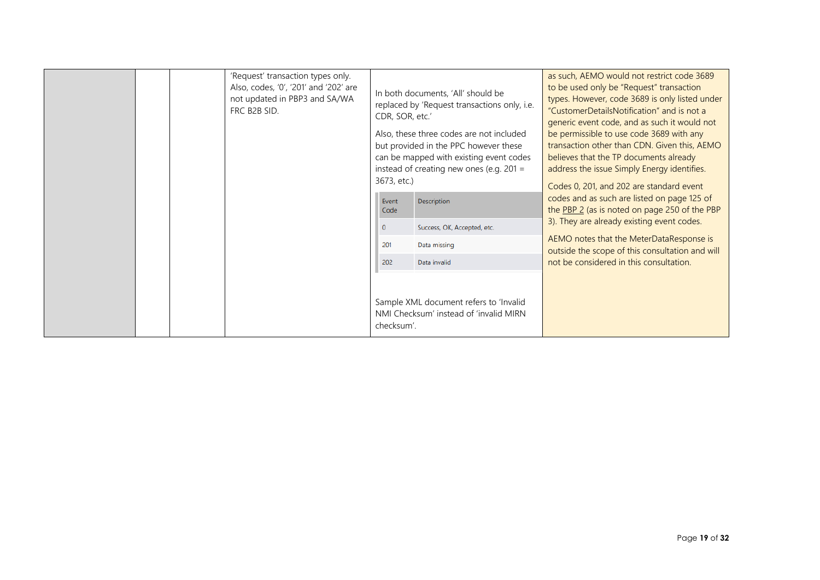|  | 'Request' transaction types only.<br>Also, codes, '0', '201' and '202' are<br>not updated in PBP3 and SA/WA<br>FRC B2B SID.<br>CDR, SOR, etc.'<br>3673, etc.) | In both documents, 'All' should be<br>replaced by 'Request transactions only, i.e.<br>Also, these three codes are not included<br>but provided in the PPC however these<br>can be mapped with existing event codes<br>instead of creating new ones (e.g. $201 =$ | as such, AEMO would not restrict code 3689<br>to be used only be "Request" transaction<br>types. However, code 3689 is only listed under<br>"CustomerDetailsNotification" and is not a<br>generic event code, and as such it would not<br>be permissible to use code 3689 with any<br>transaction other than CDN. Given this, AEMO<br>believes that the TP documents already<br>address the issue Simply Energy identifies.<br>Codes 0, 201, and 202 are standard event |                                                                                              |
|--|---------------------------------------------------------------------------------------------------------------------------------------------------------------|------------------------------------------------------------------------------------------------------------------------------------------------------------------------------------------------------------------------------------------------------------------|-------------------------------------------------------------------------------------------------------------------------------------------------------------------------------------------------------------------------------------------------------------------------------------------------------------------------------------------------------------------------------------------------------------------------------------------------------------------------|----------------------------------------------------------------------------------------------|
|  |                                                                                                                                                               | Event<br>Code                                                                                                                                                                                                                                                    | <b>Description</b>                                                                                                                                                                                                                                                                                                                                                                                                                                                      | codes and as such are listed on page 125 of<br>the PBP 2 (as is noted on page 250 of the PBP |
|  |                                                                                                                                                               | $\mathbf{0}$                                                                                                                                                                                                                                                     | Success, OK, Accepted, etc.                                                                                                                                                                                                                                                                                                                                                                                                                                             | 3). They are already existing event codes.                                                   |
|  |                                                                                                                                                               | 201                                                                                                                                                                                                                                                              | Data missing                                                                                                                                                                                                                                                                                                                                                                                                                                                            | AEMO notes that the MeterDataResponse is<br>outside the scope of this consultation and will  |
|  |                                                                                                                                                               | 202                                                                                                                                                                                                                                                              | Data invalid                                                                                                                                                                                                                                                                                                                                                                                                                                                            | not be considered in this consultation.                                                      |
|  |                                                                                                                                                               | checksum'.                                                                                                                                                                                                                                                       | Sample XML document refers to 'Invalid<br>NMI Checksum' instead of 'invalid MIRN                                                                                                                                                                                                                                                                                                                                                                                        |                                                                                              |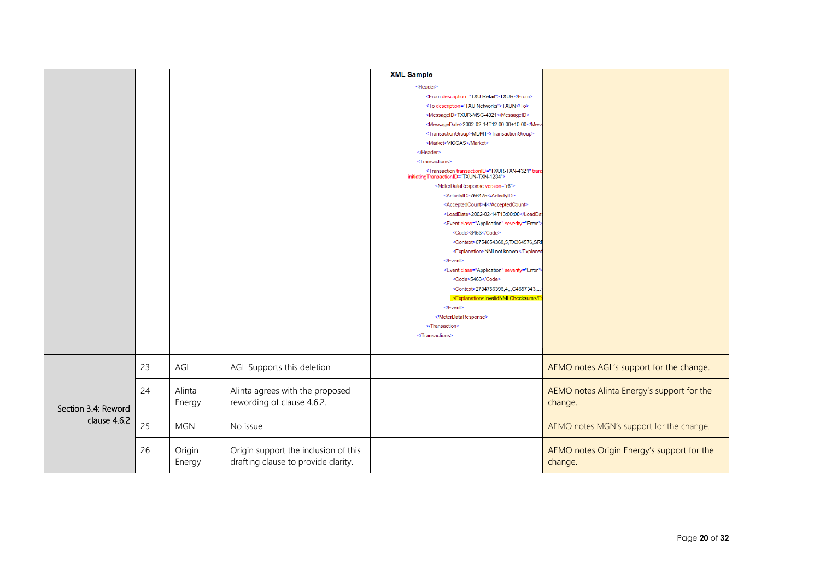|                                     |    |                  |                                                                             | <b>XML Sample</b>                                                                                               |                                                       |
|-------------------------------------|----|------------------|-----------------------------------------------------------------------------|-----------------------------------------------------------------------------------------------------------------|-------------------------------------------------------|
|                                     |    |                  |                                                                             |                                                                                                                 |                                                       |
|                                     |    |                  |                                                                             | <header></header>                                                                                               |                                                       |
|                                     |    |                  |                                                                             | <from description="TXU Retail">TXUR</from>                                                                      |                                                       |
|                                     |    |                  |                                                                             | <to description="TXU Networks">TXUN</to>                                                                        |                                                       |
|                                     |    |                  |                                                                             | <messageid>TXUR-MSG-4321</messageid>                                                                            |                                                       |
|                                     |    |                  |                                                                             | <messagedate>2002-02-14T12:00:00+10:00<td></td></messagedate>                                                   |                                                       |
|                                     |    |                  |                                                                             | <transactiongroup>MDMT</transactiongroup><br><market>VICGAS</market>                                            |                                                       |
|                                     |    |                  |                                                                             |                                                                                                                 |                                                       |
|                                     |    |                  |                                                                             | <transactions></transactions>                                                                                   |                                                       |
|                                     |    |                  |                                                                             | <transaction tran<br="" transactionid="TXUR-TXN-4321">initiatingTransactionID="TXUN-TXN-1234"&gt;</transaction> |                                                       |
|                                     |    |                  |                                                                             | <meterdataresponse version="r6"></meterdataresponse>                                                            |                                                       |
|                                     |    |                  |                                                                             | <activityid>756475</activityid>                                                                                 |                                                       |
|                                     |    |                  |                                                                             | <acceptedcount>4</acceptedcount>                                                                                |                                                       |
|                                     |    |                  |                                                                             | <loaddate>2002-02-14T13:00:00<td></td></loaddate>                                                               |                                                       |
|                                     |    |                  |                                                                             | <event <="" class="Application" severity="Error" td=""><td></td></event>                                        |                                                       |
|                                     |    |                  |                                                                             | <code>3453</code>                                                                                               |                                                       |
|                                     |    |                  |                                                                             | <context>6754654368,5,TX364576,SRF</context>                                                                    |                                                       |
|                                     |    |                  |                                                                             | <explanation>NMI not known<td></td></explanation>                                                               |                                                       |
|                                     |    |                  |                                                                             |                                                                                                                 |                                                       |
|                                     |    |                  |                                                                             | <event :<="" class="Application" severity="Error" td=""><td></td></event>                                       |                                                       |
|                                     |    |                  |                                                                             | <code>5463</code>                                                                                               |                                                       |
|                                     |    |                  |                                                                             | <context>2784756396,4,,,G4657343,.</context>                                                                    |                                                       |
|                                     |    |                  |                                                                             | <explanation>InvalidNMI Checksum<td></td></explanation>                                                         |                                                       |
|                                     |    |                  |                                                                             |                                                                                                                 |                                                       |
|                                     |    |                  |                                                                             |                                                                                                                 |                                                       |
|                                     |    |                  |                                                                             | <br>                                                                                                            |                                                       |
|                                     |    |                  |                                                                             |                                                                                                                 |                                                       |
|                                     |    |                  |                                                                             |                                                                                                                 |                                                       |
|                                     | 23 | AGL              | AGL Supports this deletion                                                  |                                                                                                                 | AEMO notes AGL's support for the change.              |
| Section 3.4: Reword<br>clause 4.6.2 | 24 | Alinta<br>Energy | Alinta agrees with the proposed<br>rewording of clause 4.6.2.               |                                                                                                                 | AEMO notes Alinta Energy's support for the<br>change. |
|                                     | 25 | <b>MGN</b>       | No issue                                                                    |                                                                                                                 | AEMO notes MGN's support for the change.              |
|                                     | 26 | Origin<br>Energy | Origin support the inclusion of this<br>drafting clause to provide clarity. |                                                                                                                 | AEMO notes Origin Energy's support for the<br>change. |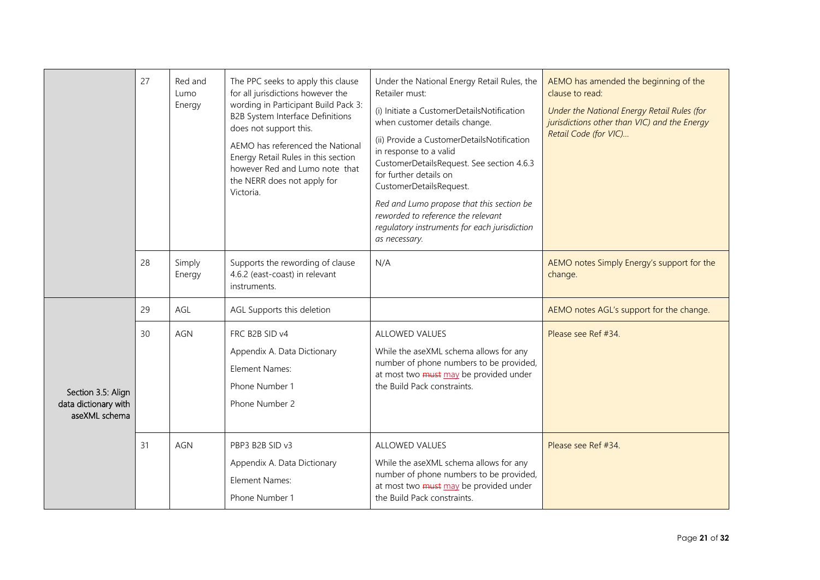|                                                             | 27 | Red and<br>Lumo<br>Energy | The PPC seeks to apply this clause<br>for all jurisdictions however the<br>wording in Participant Build Pack 3:<br>B2B System Interface Definitions<br>does not support this.<br>AEMO has referenced the National<br>Energy Retail Rules in this section<br>however Red and Lumo note that<br>the NERR does not apply for<br>Victoria. | Under the National Energy Retail Rules, the<br>Retailer must:<br>(i) Initiate a CustomerDetailsNotification<br>when customer details change.<br>(ii) Provide a CustomerDetailsNotification<br>in response to a valid<br>CustomerDetailsRequest. See section 4.6.3<br>for further details on<br>CustomerDetailsRequest.<br>Red and Lumo propose that this section be<br>reworded to reference the relevant<br>regulatory instruments for each jurisdiction<br>as necessary. | AEMO has amended the beginning of the<br>clause to read:<br>Under the National Energy Retail Rules (for<br>jurisdictions other than VIC) and the Energy<br>Retail Code (for VIC) |
|-------------------------------------------------------------|----|---------------------------|----------------------------------------------------------------------------------------------------------------------------------------------------------------------------------------------------------------------------------------------------------------------------------------------------------------------------------------|----------------------------------------------------------------------------------------------------------------------------------------------------------------------------------------------------------------------------------------------------------------------------------------------------------------------------------------------------------------------------------------------------------------------------------------------------------------------------|----------------------------------------------------------------------------------------------------------------------------------------------------------------------------------|
|                                                             | 28 | Simply<br>Energy          | Supports the rewording of clause<br>4.6.2 (east-coast) in relevant<br>instruments.                                                                                                                                                                                                                                                     | N/A                                                                                                                                                                                                                                                                                                                                                                                                                                                                        | AEMO notes Simply Energy's support for the<br>change.                                                                                                                            |
|                                                             | 29 | AGL                       | AGL Supports this deletion                                                                                                                                                                                                                                                                                                             |                                                                                                                                                                                                                                                                                                                                                                                                                                                                            | AEMO notes AGL's support for the change.                                                                                                                                         |
| Section 3.5: Align<br>data dictionary with<br>aseXML schema | 30 | AGN                       | FRC B2B SID v4<br>Appendix A. Data Dictionary<br>Element Names:<br>Phone Number 1<br>Phone Number 2                                                                                                                                                                                                                                    | <b>ALLOWED VALUES</b><br>While the aseXML schema allows for any<br>number of phone numbers to be provided,<br>at most two must may be provided under<br>the Build Pack constraints.                                                                                                                                                                                                                                                                                        | Please see Ref #34.                                                                                                                                                              |
|                                                             | 31 | AGN                       | PBP3 B2B SID v3<br>Appendix A. Data Dictionary<br>Element Names:<br>Phone Number 1                                                                                                                                                                                                                                                     | <b>ALLOWED VALUES</b><br>While the aseXML schema allows for any<br>number of phone numbers to be provided,<br>at most two must may be provided under<br>the Build Pack constraints.                                                                                                                                                                                                                                                                                        | Please see Ref #34.                                                                                                                                                              |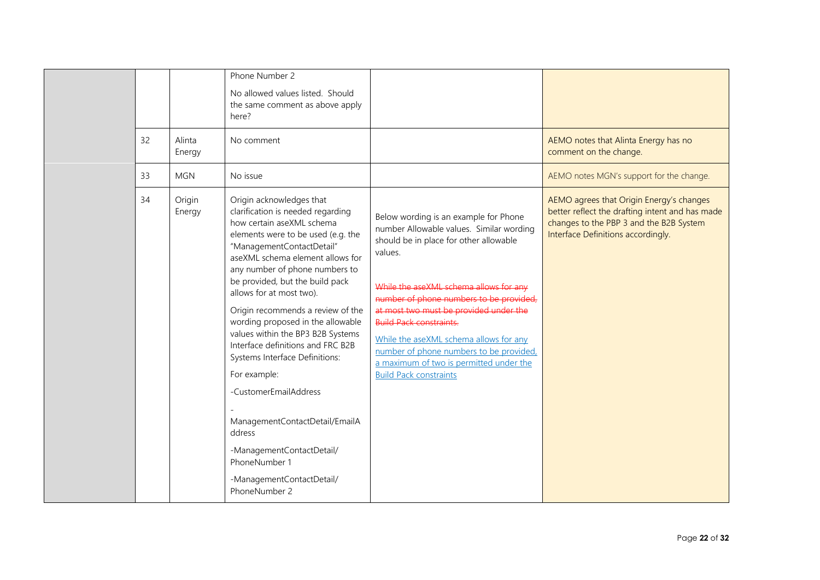| 32<br>33 | Alinta<br>Energy<br><b>MGN</b> | Phone Number 2<br>No allowed values listed. Should<br>the same comment as above apply<br>here?<br>No comment<br>No issue                                                                                                                                                                                                                                                                                                                                                                                                                                                                                                                                                  |                                                                                                                                                                                                                                                                                                                                                                                                                                                                          | AEMO notes that Alinta Energy has no<br>comment on the change.<br>AEMO notes MGN's support for the change.                                                                   |
|----------|--------------------------------|---------------------------------------------------------------------------------------------------------------------------------------------------------------------------------------------------------------------------------------------------------------------------------------------------------------------------------------------------------------------------------------------------------------------------------------------------------------------------------------------------------------------------------------------------------------------------------------------------------------------------------------------------------------------------|--------------------------------------------------------------------------------------------------------------------------------------------------------------------------------------------------------------------------------------------------------------------------------------------------------------------------------------------------------------------------------------------------------------------------------------------------------------------------|------------------------------------------------------------------------------------------------------------------------------------------------------------------------------|
| 34       | Origin<br>Energy               | Origin acknowledges that<br>clarification is needed regarding<br>how certain aseXML schema<br>elements were to be used (e.g. the<br>"ManagementContactDetail"<br>aseXML schema element allows for<br>any number of phone numbers to<br>be provided, but the build pack<br>allows for at most two).<br>Origin recommends a review of the<br>wording proposed in the allowable<br>values within the BP3 B2B Systems<br>Interface definitions and FRC B2B<br>Systems Interface Definitions:<br>For example:<br>-CustomerEmailAddress<br>ManagementContactDetail/EmailA<br>ddress<br>-ManagementContactDetail/<br>PhoneNumber 1<br>-ManagementContactDetail/<br>PhoneNumber 2 | Below wording is an example for Phone<br>number Allowable values. Similar wording<br>should be in place for other allowable<br>values.<br>While the aseXML schema allows for any<br>number of phone numbers to be provided.<br>at most two must be provided under the<br><b>Build Pack constraints.</b><br>While the aseXML schema allows for any<br>number of phone numbers to be provided,<br>a maximum of two is permitted under the<br><b>Build Pack constraints</b> | AEMO agrees that Origin Energy's changes<br>better reflect the drafting intent and has made<br>changes to the PBP 3 and the B2B System<br>Interface Definitions accordingly. |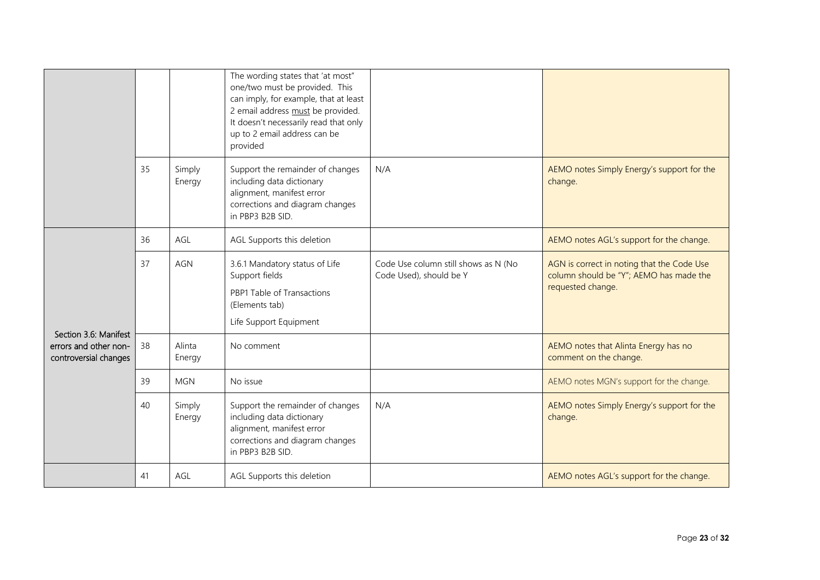|                                                                         |    |                  | The wording states that 'at most"<br>one/two must be provided. This<br>can imply, for example, that at least<br>2 email address must be provided.<br>It doesn't necessarily read that only<br>up to 2 email address can be<br>provided |                                                                 |                                                                                                            |
|-------------------------------------------------------------------------|----|------------------|----------------------------------------------------------------------------------------------------------------------------------------------------------------------------------------------------------------------------------------|-----------------------------------------------------------------|------------------------------------------------------------------------------------------------------------|
|                                                                         | 35 | Simply<br>Energy | Support the remainder of changes<br>including data dictionary<br>alignment, manifest error<br>corrections and diagram changes<br>in PBP3 B2B SID.                                                                                      | N/A                                                             | AEMO notes Simply Energy's support for the<br>change.                                                      |
|                                                                         | 36 | AGL              | AGL Supports this deletion                                                                                                                                                                                                             |                                                                 | AEMO notes AGL's support for the change.                                                                   |
|                                                                         | 37 | <b>AGN</b>       | 3.6.1 Mandatory status of Life<br>Support fields<br>PBP1 Table of Transactions<br>(Elements tab)<br>Life Support Equipment                                                                                                             | Code Use column still shows as N (No<br>Code Used), should be Y | AGN is correct in noting that the Code Use<br>column should be "Y"; AEMO has made the<br>requested change. |
| Section 3.6: Manifest<br>errors and other non-<br>controversial changes | 38 | Alinta<br>Energy | No comment                                                                                                                                                                                                                             |                                                                 | AEMO notes that Alinta Energy has no<br>comment on the change.                                             |
|                                                                         | 39 | <b>MGN</b>       | No issue                                                                                                                                                                                                                               |                                                                 | AEMO notes MGN's support for the change.                                                                   |
|                                                                         | 40 | Simply<br>Energy | Support the remainder of changes<br>including data dictionary<br>alignment, manifest error<br>corrections and diagram changes<br>in PBP3 B2B SID.                                                                                      | N/A                                                             | AEMO notes Simply Energy's support for the<br>change.                                                      |
|                                                                         | 41 | AGL              | AGL Supports this deletion                                                                                                                                                                                                             |                                                                 | AEMO notes AGL's support for the change.                                                                   |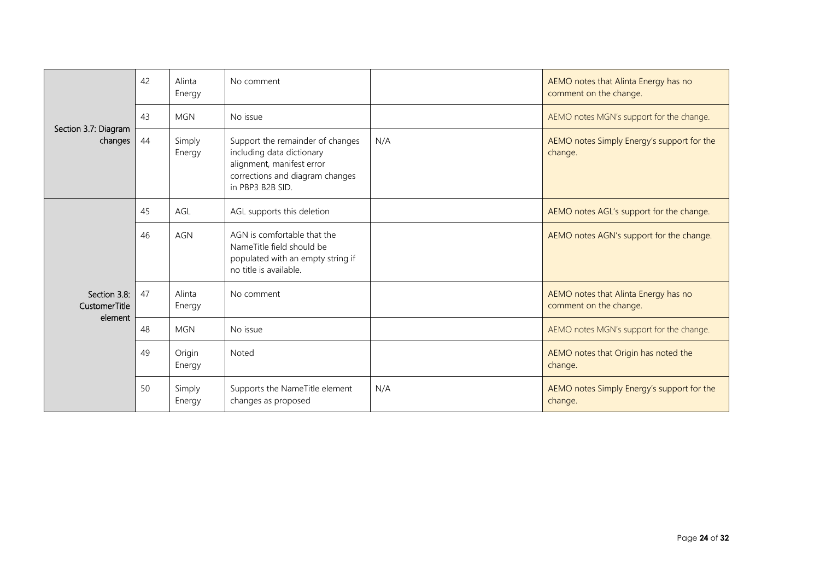|                               | 42 | Alinta<br>Energy | No comment                                                                                                                                        |     | AEMO notes that Alinta Energy has no<br>comment on the change. |
|-------------------------------|----|------------------|---------------------------------------------------------------------------------------------------------------------------------------------------|-----|----------------------------------------------------------------|
| Section 3.7: Diagram          | 43 | <b>MGN</b>       | No issue                                                                                                                                          |     | AEMO notes MGN's support for the change.                       |
| changes                       | 44 | Simply<br>Energy | Support the remainder of changes<br>including data dictionary<br>alignment, manifest error<br>corrections and diagram changes<br>in PBP3 B2B SID. | N/A | AEMO notes Simply Energy's support for the<br>change.          |
|                               | 45 | AGL              | AGL supports this deletion                                                                                                                        |     | AEMO notes AGL's support for the change.                       |
|                               | 46 | <b>AGN</b>       | AGN is comfortable that the<br>Name Title field should be<br>populated with an empty string if<br>no title is available.                          |     | AEMO notes AGN's support for the change.                       |
| Section 3.8:<br>CustomerTitle | 47 | Alinta<br>Energy | No comment                                                                                                                                        |     | AEMO notes that Alinta Energy has no<br>comment on the change. |
| element                       | 48 | <b>MGN</b>       | No issue                                                                                                                                          |     | AEMO notes MGN's support for the change.                       |
|                               | 49 | Origin<br>Energy | Noted                                                                                                                                             |     | AEMO notes that Origin has noted the<br>change.                |
|                               | 50 | Simply<br>Energy | Supports the NameTitle element<br>changes as proposed                                                                                             | N/A | AEMO notes Simply Energy's support for the<br>change.          |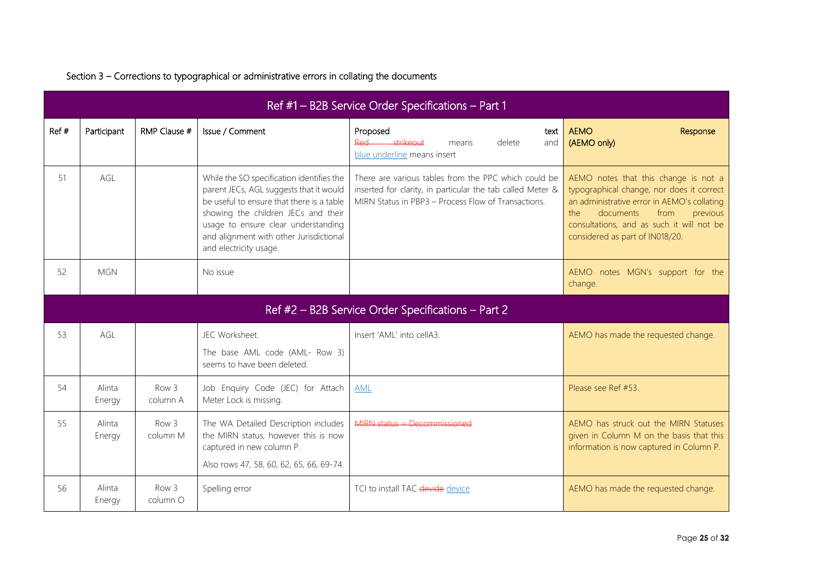|       | Ref #1 - B2B Service Order Specifications - Part 1 |                              |                                                                                                                                                                                                                                                                                      |                                                                                                                                                                           |                                                                                                                                                                                                                                                           |  |  |  |
|-------|----------------------------------------------------|------------------------------|--------------------------------------------------------------------------------------------------------------------------------------------------------------------------------------------------------------------------------------------------------------------------------------|---------------------------------------------------------------------------------------------------------------------------------------------------------------------------|-----------------------------------------------------------------------------------------------------------------------------------------------------------------------------------------------------------------------------------------------------------|--|--|--|
| Ref # | Participant                                        | RMP Clause #                 | Issue / Comment                                                                                                                                                                                                                                                                      | Proposed<br>text<br>Red strikeout<br>delete<br>means<br>and<br>blue underline means insert                                                                                | <b>AEMO</b><br>Response<br>(AEMO only)                                                                                                                                                                                                                    |  |  |  |
| 51    | AGL                                                |                              | While the SO specification identifies the<br>parent JECs, AGL suggests that it would<br>be useful to ensure that there is a table<br>showing the children JECs and their<br>usage to ensure clear understanding<br>and alignment with other Jurisdictional<br>and electricity usage. | There are various tables from the PPC which could be<br>inserted for clarity, in particular the tab called Meter &<br>MIRN Status in PBP3 - Process Flow of Transactions. | AEMO notes that this change is not a<br>typographical change, nor does it correct<br>an administrative error in AEMO's collating<br>documents<br>from<br>the.<br>previous<br>consultations, and as such it will not be<br>considered as part of IN018/20. |  |  |  |
| 52    | <b>MGN</b>                                         |                              | No issue                                                                                                                                                                                                                                                                             |                                                                                                                                                                           | AEMO notes MGN's support for the<br>change.                                                                                                                                                                                                               |  |  |  |
|       |                                                    |                              |                                                                                                                                                                                                                                                                                      | Ref #2 - B2B Service Order Specifications - Part 2                                                                                                                        |                                                                                                                                                                                                                                                           |  |  |  |
| 53    | AGL                                                |                              | JEC Worksheet.<br>The base AML code (AML- Row 3)<br>seems to have been deleted.                                                                                                                                                                                                      | Insert 'AML' into cellA3.                                                                                                                                                 | AEMO has made the requested change.                                                                                                                                                                                                                       |  |  |  |
| 54    | Alinta<br>Energy                                   | Row <sub>3</sub><br>column A | Job Enquiry Code (JEC) for Attach<br>Meter Lock is missing.                                                                                                                                                                                                                          | <b>AML</b>                                                                                                                                                                | Please see Ref #53.                                                                                                                                                                                                                                       |  |  |  |
| 55    | Alinta<br>Energy                                   | Row 3<br>column M            | The WA Detailed Description includes<br>the MIRN status, however this is now<br>captured in new column P.<br>Also rows 47, 58, 60, 62, 65, 66, 69-74.                                                                                                                                | $MIPNL$ status = Decommissioned                                                                                                                                           | AEMO has struck out the MIRN Statuses<br>given in Column M on the basis that this<br>information is now captured in Column P.                                                                                                                             |  |  |  |
| 56    | Alinta<br>Energy                                   | Row 3<br>column O            | Spelling error                                                                                                                                                                                                                                                                       | TCI to install TAC devide device                                                                                                                                          | AEMO has made the requested change.                                                                                                                                                                                                                       |  |  |  |

### Section 3 – Corrections to typographical or administrative errors in collating the documents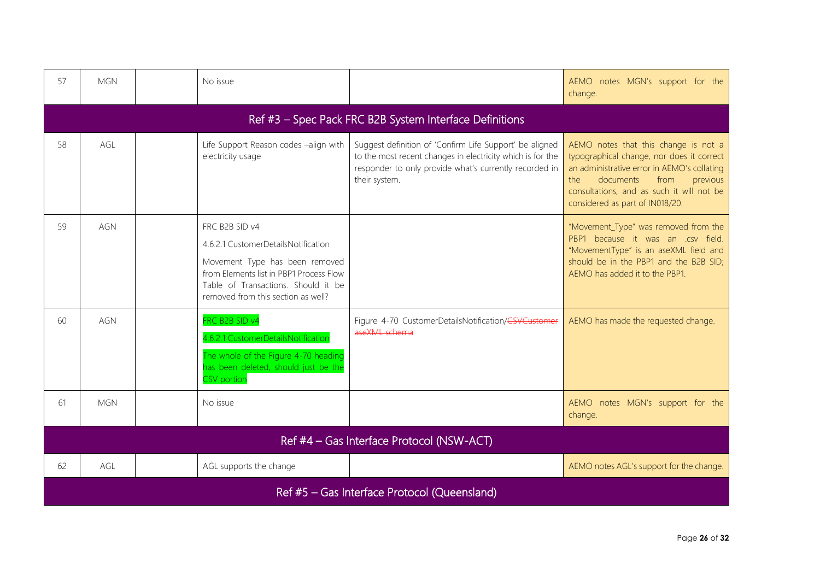| 57  | <b>MGN</b>                                              | No issue                                                                                                                                                                                                        |                                                                                                                                                                                                  | AEMO notes MGN's support for the<br>change.                                                                                                                                                                                                              |  |  |  |  |  |  |
|-----|---------------------------------------------------------|-----------------------------------------------------------------------------------------------------------------------------------------------------------------------------------------------------------------|--------------------------------------------------------------------------------------------------------------------------------------------------------------------------------------------------|----------------------------------------------------------------------------------------------------------------------------------------------------------------------------------------------------------------------------------------------------------|--|--|--|--|--|--|
|     | Ref #3 - Spec Pack FRC B2B System Interface Definitions |                                                                                                                                                                                                                 |                                                                                                                                                                                                  |                                                                                                                                                                                                                                                          |  |  |  |  |  |  |
| 58  | AGL                                                     | Life Support Reason codes -align with<br>electricity usage                                                                                                                                                      | Suggest definition of 'Confirm Life Support' be aligned<br>to the most recent changes in electricity which is for the<br>responder to only provide what's currently recorded in<br>their system. | AEMO notes that this change is not a<br>typographical change, nor does it correct<br>an administrative error in AEMO's collating<br>documents<br>from<br>previous<br>the<br>consultations, and as such it will not be<br>considered as part of IN018/20. |  |  |  |  |  |  |
| 59  | AGN                                                     | FRC B2B SID v4<br>4.6.2.1 CustomerDetailsNotification<br>Movement Type has been removed<br>from Elements list in PBP1 Process Flow<br>Table of Transactions. Should it be<br>removed from this section as well? |                                                                                                                                                                                                  | "Movement_Type" was removed from the<br>PBP1 because it was an .csv field.<br>"MovementType" is an aseXML field and<br>should be in the PBP1 and the B2B SID;<br>AEMO has added it to the PBP1.                                                          |  |  |  |  |  |  |
| 60  | AGN                                                     | FRC B2B SID v4<br>4.6.2.1 CustomerDetailsNotification<br>The whole of the Figure 4-70 heading<br>has been deleted, should just be the<br><b>CSV</b> portion                                                     | Figure 4-70 CustomerDetailsNotification/CSVCustomer<br>aseXML schema                                                                                                                             | AEMO has made the requested change.                                                                                                                                                                                                                      |  |  |  |  |  |  |
| -61 | <b>MGN</b>                                              | No issue                                                                                                                                                                                                        |                                                                                                                                                                                                  | AEMO notes MGN's support for the<br>change.                                                                                                                                                                                                              |  |  |  |  |  |  |
|     |                                                         |                                                                                                                                                                                                                 | Ref #4 - Gas Interface Protocol (NSW-ACT)                                                                                                                                                        |                                                                                                                                                                                                                                                          |  |  |  |  |  |  |
| 62  | AGL                                                     | AGL supports the change                                                                                                                                                                                         |                                                                                                                                                                                                  | AEMO notes AGL's support for the change.                                                                                                                                                                                                                 |  |  |  |  |  |  |
|     |                                                         |                                                                                                                                                                                                                 | Ref #5 - Gas Interface Protocol (Queensland)                                                                                                                                                     |                                                                                                                                                                                                                                                          |  |  |  |  |  |  |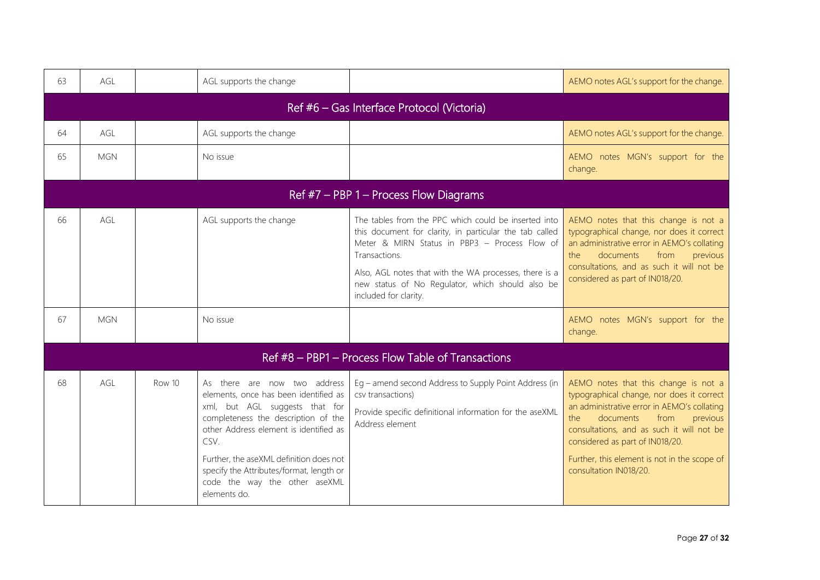| 63 | AGL                                        |        | AGL supports the change                                                                                                                                                                                                                                                                                                                  |                                                                                                                                                                                                                                                                                                                          | AEMO notes AGL's support for the change.                                                                                                                                                                                                                                                                                           |  |  |  |  |  |  |
|----|--------------------------------------------|--------|------------------------------------------------------------------------------------------------------------------------------------------------------------------------------------------------------------------------------------------------------------------------------------------------------------------------------------------|--------------------------------------------------------------------------------------------------------------------------------------------------------------------------------------------------------------------------------------------------------------------------------------------------------------------------|------------------------------------------------------------------------------------------------------------------------------------------------------------------------------------------------------------------------------------------------------------------------------------------------------------------------------------|--|--|--|--|--|--|
|    | Ref #6 - Gas Interface Protocol (Victoria) |        |                                                                                                                                                                                                                                                                                                                                          |                                                                                                                                                                                                                                                                                                                          |                                                                                                                                                                                                                                                                                                                                    |  |  |  |  |  |  |
| 64 | AGL                                        |        | AGL supports the change                                                                                                                                                                                                                                                                                                                  |                                                                                                                                                                                                                                                                                                                          | AEMO notes AGL's support for the change.                                                                                                                                                                                                                                                                                           |  |  |  |  |  |  |
| 65 | <b>MGN</b>                                 |        | No issue                                                                                                                                                                                                                                                                                                                                 |                                                                                                                                                                                                                                                                                                                          | AEMO notes MGN's support for the<br>change.                                                                                                                                                                                                                                                                                        |  |  |  |  |  |  |
|    | Ref $#7$ – PBP 1 – Process Flow Diagrams   |        |                                                                                                                                                                                                                                                                                                                                          |                                                                                                                                                                                                                                                                                                                          |                                                                                                                                                                                                                                                                                                                                    |  |  |  |  |  |  |
| 66 | AGL                                        |        | AGL supports the change                                                                                                                                                                                                                                                                                                                  | The tables from the PPC which could be inserted into<br>this document for clarity, in particular the tab called<br>Meter & MIRN Status in PBP3 - Process Flow of<br>Transactions.<br>Also, AGL notes that with the WA processes, there is a<br>new status of No Regulator, which should also be<br>included for clarity. | AEMO notes that this change is not a<br>typographical change, nor does it correct<br>an administrative error in AEMO's collating<br>documents<br>from<br>the.<br>previous<br>consultations, and as such it will not be<br>considered as part of IN018/20.                                                                          |  |  |  |  |  |  |
| 67 | <b>MGN</b>                                 |        | No issue                                                                                                                                                                                                                                                                                                                                 |                                                                                                                                                                                                                                                                                                                          | AEMO notes MGN's support for the<br>change.                                                                                                                                                                                                                                                                                        |  |  |  |  |  |  |
|    |                                            |        |                                                                                                                                                                                                                                                                                                                                          | Ref #8 - PBP1 - Process Flow Table of Transactions                                                                                                                                                                                                                                                                       |                                                                                                                                                                                                                                                                                                                                    |  |  |  |  |  |  |
| 68 | AGL                                        | Row 10 | As there are now two address<br>elements, once has been identified as<br>xml, but AGL suggests that for<br>completeness the description of the<br>other Address element is identified as<br>CSV.<br>Further, the aseXML definition does not<br>specify the Attributes/format, length or<br>code the way the other aseXML<br>elements do. | Eg - amend second Address to Supply Point Address (in<br>csv transactions)<br>Provide specific definitional information for the aseXML<br>Address element                                                                                                                                                                | AEMO notes that this change is not a<br>typographical change, nor does it correct<br>an administrative error in AEMO's collating<br>documents<br>the<br>from<br>previous<br>consultations, and as such it will not be<br>considered as part of IN018/20.<br>Further, this element is not in the scope of<br>consultation IN018/20. |  |  |  |  |  |  |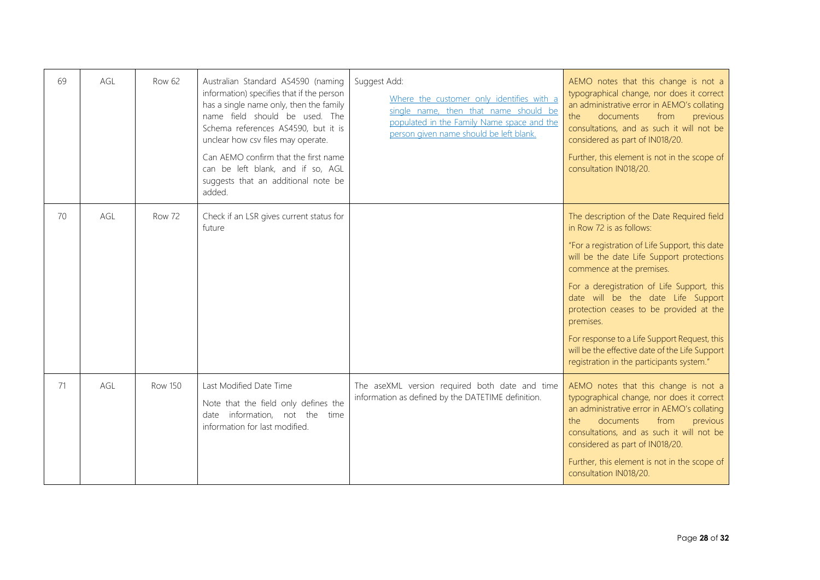| 69 | AGL | Row 62         | Australian Standard AS4590 (naming<br>information) specifies that if the person<br>has a single name only, then the family<br>name field should be used. The<br>Schema references AS4590, but it is<br>unclear how csv files may operate.<br>Can AEMO confirm that the first name<br>can be left blank, and if so, AGL<br>suggests that an additional note be<br>added. | Suggest Add:<br>Where the customer only identifies with a<br>single name, then that name should be<br>populated in the Family Name space and the<br>person given name should be left blank. | AEMO notes that this change is not a<br>typographical change, nor does it correct<br>an administrative error in AEMO's collating<br>documents<br>from<br>the<br>previous<br>consultations, and as such it will not be<br>considered as part of IN018/20.<br>Further, this element is not in the scope of<br>consultation IN018/20.                                                                                                                                                            |
|----|-----|----------------|-------------------------------------------------------------------------------------------------------------------------------------------------------------------------------------------------------------------------------------------------------------------------------------------------------------------------------------------------------------------------|---------------------------------------------------------------------------------------------------------------------------------------------------------------------------------------------|-----------------------------------------------------------------------------------------------------------------------------------------------------------------------------------------------------------------------------------------------------------------------------------------------------------------------------------------------------------------------------------------------------------------------------------------------------------------------------------------------|
| 70 | AGL | <b>Row 72</b>  | Check if an LSR gives current status for<br>future                                                                                                                                                                                                                                                                                                                      |                                                                                                                                                                                             | The description of the Date Required field<br>in Row 72 is as follows:<br>"For a registration of Life Support, this date<br>will be the date Life Support protections<br>commence at the premises.<br>For a deregistration of Life Support, this<br>date will be the date Life Support<br>protection ceases to be provided at the<br>premises.<br>For response to a Life Support Request, this<br>will be the effective date of the Life Support<br>registration in the participants system." |
| 71 | AGL | <b>Row 150</b> | Last Modified Date Time<br>Note that the field only defines the<br>date information, not the<br>time<br>information for last modified.                                                                                                                                                                                                                                  | The aseXML version required both date and time<br>information as defined by the DATETIME definition.                                                                                        | AEMO notes that this change is not a<br>typographical change, nor does it correct<br>an administrative error in AEMO's collating<br>the<br>documents<br>from<br>previous<br>consultations, and as such it will not be<br>considered as part of IN018/20.<br>Further, this element is not in the scope of<br>consultation IN018/20.                                                                                                                                                            |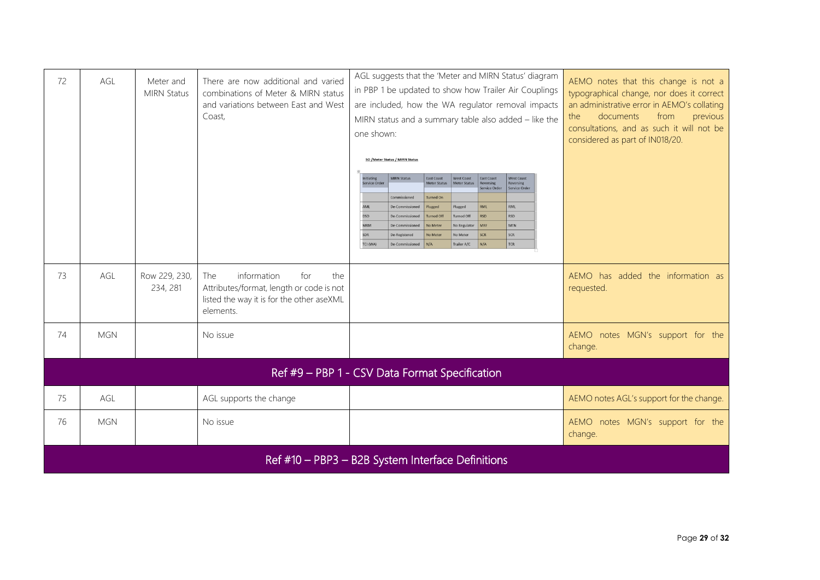| 72 | AGL        | Meter and<br><b>MIRN Status</b> | There are now additional and varied<br>combinations of Meter & MIRN status<br>and variations between East and West<br>Coast,           | AGL suggests that the 'Meter and MIRN Status' diagram<br>in PBP 1 be updated to show how Trailer Air Couplings<br>are included, how the WA regulator removal impacts<br>MIRN status and a summary table also added - like the<br>one shown:<br>SO / Meter Status / MIRN Status<br><b>MIRN Status</b><br>East Coast<br>West Coast<br>East Coast<br><b>West Coast</b><br>nitiating<br>Service Order<br><b>Meter Status</b><br>Meter Status<br>Reversing<br>Reversing<br>Service Order<br>Service Order<br><b>Turned On</b><br>Commissioned<br><b>RML</b><br>RML<br><b>AMI</b><br>De-Commissioned<br>Plugged<br>Plugged<br><b>DSD</b><br><b>RSD</b><br><b>RSD</b><br><b>Turned Off</b><br>De-Commissioned<br><b>Turned Off</b><br><b>MRM</b><br><b>MTN</b><br>No Meter<br>MRF<br>De-Commissioned<br>No Regulator<br>SCR<br>SDR<br>No Meter<br>No Meter<br>SCR<br>De-Registered<br><b>TCR</b><br>TCI (WA)<br>N/A<br>Trailer A/C<br>N/A<br>De-Commissioned | AEMO notes that this change is not a<br>typographical change, nor does it correct<br>an administrative error in AEMO's collating<br>documents<br>from<br>the<br>previous<br>consultations, and as such it will not be<br>considered as part of IN018/20. |
|----|------------|---------------------------------|----------------------------------------------------------------------------------------------------------------------------------------|-------------------------------------------------------------------------------------------------------------------------------------------------------------------------------------------------------------------------------------------------------------------------------------------------------------------------------------------------------------------------------------------------------------------------------------------------------------------------------------------------------------------------------------------------------------------------------------------------------------------------------------------------------------------------------------------------------------------------------------------------------------------------------------------------------------------------------------------------------------------------------------------------------------------------------------------------------|----------------------------------------------------------------------------------------------------------------------------------------------------------------------------------------------------------------------------------------------------------|
| 73 | AGL        | Row 229, 230,<br>234, 281       | information<br>for<br>The<br>the<br>Attributes/format, length or code is not<br>listed the way it is for the other aseXML<br>elements. |                                                                                                                                                                                                                                                                                                                                                                                                                                                                                                                                                                                                                                                                                                                                                                                                                                                                                                                                                       | AEMO has added the information as<br>requested.                                                                                                                                                                                                          |
| 74 | <b>MGN</b> |                                 | No issue                                                                                                                               |                                                                                                                                                                                                                                                                                                                                                                                                                                                                                                                                                                                                                                                                                                                                                                                                                                                                                                                                                       | AEMO notes MGN's support for the<br>change.                                                                                                                                                                                                              |
|    |            |                                 |                                                                                                                                        | Ref #9 - PBP 1 - CSV Data Format Specification                                                                                                                                                                                                                                                                                                                                                                                                                                                                                                                                                                                                                                                                                                                                                                                                                                                                                                        |                                                                                                                                                                                                                                                          |
| 75 | AGL        |                                 | AGL supports the change                                                                                                                |                                                                                                                                                                                                                                                                                                                                                                                                                                                                                                                                                                                                                                                                                                                                                                                                                                                                                                                                                       | AEMO notes AGL's support for the change.                                                                                                                                                                                                                 |
| 76 | <b>MGN</b> |                                 | No issue                                                                                                                               |                                                                                                                                                                                                                                                                                                                                                                                                                                                                                                                                                                                                                                                                                                                                                                                                                                                                                                                                                       | AEMO notes MGN's support for the<br>change.                                                                                                                                                                                                              |
|    |            |                                 |                                                                                                                                        | Ref #10 - PBP3 - B2B System Interface Definitions                                                                                                                                                                                                                                                                                                                                                                                                                                                                                                                                                                                                                                                                                                                                                                                                                                                                                                     |                                                                                                                                                                                                                                                          |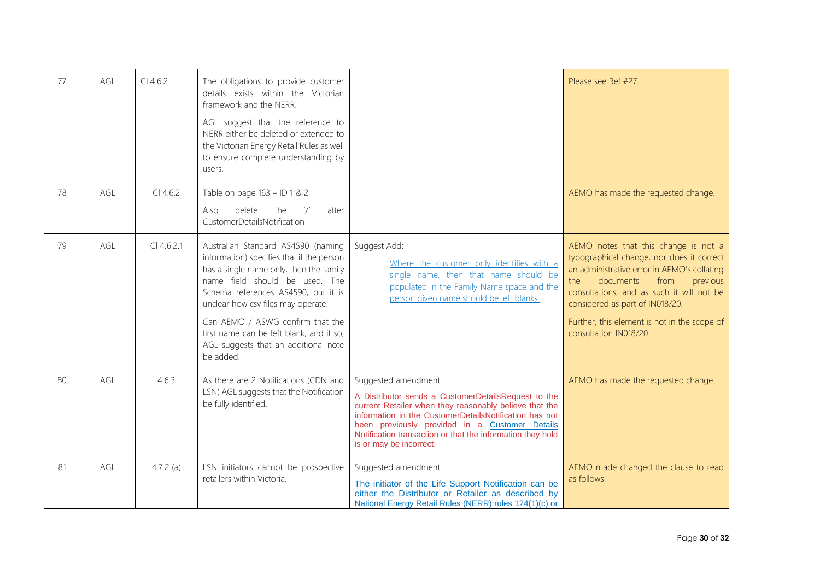| 77 | AGL        | Cl 4.6.2     | The obligations to provide customer<br>details exists within the Victorian<br>framework and the NERR.<br>AGL suggest that the reference to<br>NERR either be deleted or extended to<br>the Victorian Energy Retail Rules as well<br>to ensure complete understanding by<br>users.                                                                                              |                                                                                                                                                                                                                                                                                                                                            | Please see Ref #27.                                                                                                                                                                                                                                                                                                                |
|----|------------|--------------|--------------------------------------------------------------------------------------------------------------------------------------------------------------------------------------------------------------------------------------------------------------------------------------------------------------------------------------------------------------------------------|--------------------------------------------------------------------------------------------------------------------------------------------------------------------------------------------------------------------------------------------------------------------------------------------------------------------------------------------|------------------------------------------------------------------------------------------------------------------------------------------------------------------------------------------------------------------------------------------------------------------------------------------------------------------------------------|
| 78 | AGL        | $Cl$ 4.6.2   | Table on page 163 - ID 1 & 2<br>delete<br>the<br>$^{\prime}/^{\prime}$<br>after<br>Also<br>CustomerDetailsNotification                                                                                                                                                                                                                                                         |                                                                                                                                                                                                                                                                                                                                            | AEMO has made the requested change.                                                                                                                                                                                                                                                                                                |
| 79 | AGL        | $Cl$ 4.6.2.1 | Australian Standard AS4590 (naming<br>information) specifies that if the person<br>has a single name only, then the family<br>name field should be used. The<br>Schema references AS4590, but it is<br>unclear how csv files may operate.<br>Can AEMO / ASWG confirm that the<br>first name can be left blank, and if so,<br>AGL suggests that an additional note<br>be added. | Suggest Add:<br>Where the customer only identifies with a<br>single name, then that name should be<br>populated in the Family Name space and the<br>person given name should be left blanks.                                                                                                                                               | AEMO notes that this change is not a<br>typographical change, nor does it correct<br>an administrative error in AEMO's collating<br>documents<br>from<br>the<br>previous<br>consultations, and as such it will not be<br>considered as part of IN018/20.<br>Further, this element is not in the scope of<br>consultation IN018/20. |
| 80 | <b>AGL</b> | 4.6.3        | As there are 2 Notifications (CDN and<br>LSN) AGL suggests that the Notification<br>be fully identified.                                                                                                                                                                                                                                                                       | Suggested amendment:<br>A Distributor sends a CustomerDetailsRequest to the<br>current Retailer when they reasonably believe that the<br>information in the CustomerDetailsNotification has not<br>been previously provided in a Customer Details<br>Notification transaction or that the information they hold<br>is or may be incorrect. | AEMO has made the requested change.                                                                                                                                                                                                                                                                                                |
| 81 | AGL        | $4.7.2$ (a)  | LSN initiators cannot be prospective<br>retailers within Victoria.                                                                                                                                                                                                                                                                                                             | Suggested amendment:<br>The initiator of the Life Support Notification can be<br>either the Distributor or Retailer as described by<br>National Energy Retail Rules (NERR) rules 124(1)(c) or                                                                                                                                              | AEMO made changed the clause to read<br>as follows:                                                                                                                                                                                                                                                                                |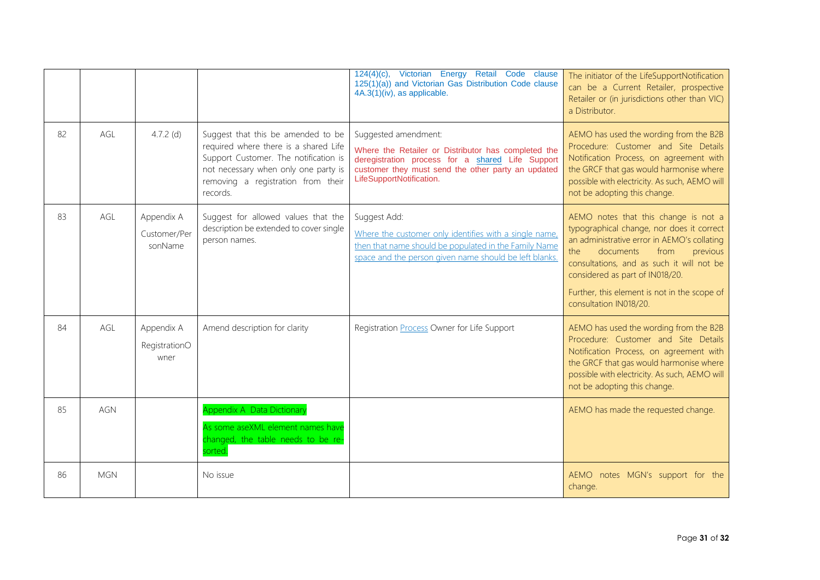|    |            |                                       |                                                                                                                                                                                                                | 124(4)(c), Victorian Energy Retail Code clause<br>125(1)(a)) and Victorian Gas Distribution Code clause<br>4A.3(1)(iv), as applicable.                                                                            | The initiator of the LifeSupportNotification<br>can be a Current Retailer, prospective<br>Retailer or (in jurisdictions other than VIC)<br>a Distributor.                                                                                                                                                                          |
|----|------------|---------------------------------------|----------------------------------------------------------------------------------------------------------------------------------------------------------------------------------------------------------------|-------------------------------------------------------------------------------------------------------------------------------------------------------------------------------------------------------------------|------------------------------------------------------------------------------------------------------------------------------------------------------------------------------------------------------------------------------------------------------------------------------------------------------------------------------------|
| 82 | AGL        | 4.7.2 $(d)$                           | Suggest that this be amended to be<br>required where there is a shared Life<br>Support Customer. The notification is<br>not necessary when only one party is<br>removing a registration from their<br>records. | Suggested amendment:<br>Where the Retailer or Distributor has completed the<br>deregistration process for a shared Life Support<br>customer they must send the other party an updated<br>LifeSupportNotification. | AEMO has used the wording from the B2B<br>Procedure: Customer and Site Details<br>Notification Process, on agreement with<br>the GRCF that gas would harmonise where<br>possible with electricity. As such, AEMO will<br>not be adopting this change.                                                                              |
| 83 | AGL        | Appendix A<br>Customer/Per<br>sonName | Suggest for allowed values that the<br>description be extended to cover single<br>person names.                                                                                                                | Suggest Add:<br>Where the customer only identifies with a single name,<br>then that name should be populated in the Family Name<br>space and the person given name should be left blanks.                         | AEMO notes that this change is not a<br>typographical change, nor does it correct<br>an administrative error in AEMO's collating<br>documents<br>from<br>the<br>previous<br>consultations, and as such it will not be<br>considered as part of IN018/20.<br>Further, this element is not in the scope of<br>consultation IN018/20. |
| 84 | AGL        | Appendix A<br>RegistrationO<br>wner   | Amend description for clarity                                                                                                                                                                                  | Registration <b>Process</b> Owner for Life Support                                                                                                                                                                | AEMO has used the wording from the B2B<br>Procedure: Customer and Site Details<br>Notification Process, on agreement with<br>the GRCF that gas would harmonise where<br>possible with electricity. As such, AEMO will<br>not be adopting this change.                                                                              |
| 85 | AGN        |                                       | Appendix A Data Dictionary<br>As some aseXML element names have<br>changed, the table needs to be re-<br>sorted.                                                                                               |                                                                                                                                                                                                                   | AEMO has made the requested change.                                                                                                                                                                                                                                                                                                |
| 86 | <b>MGN</b> |                                       | No issue                                                                                                                                                                                                       |                                                                                                                                                                                                                   | AEMO notes MGN's support for the<br>change.                                                                                                                                                                                                                                                                                        |